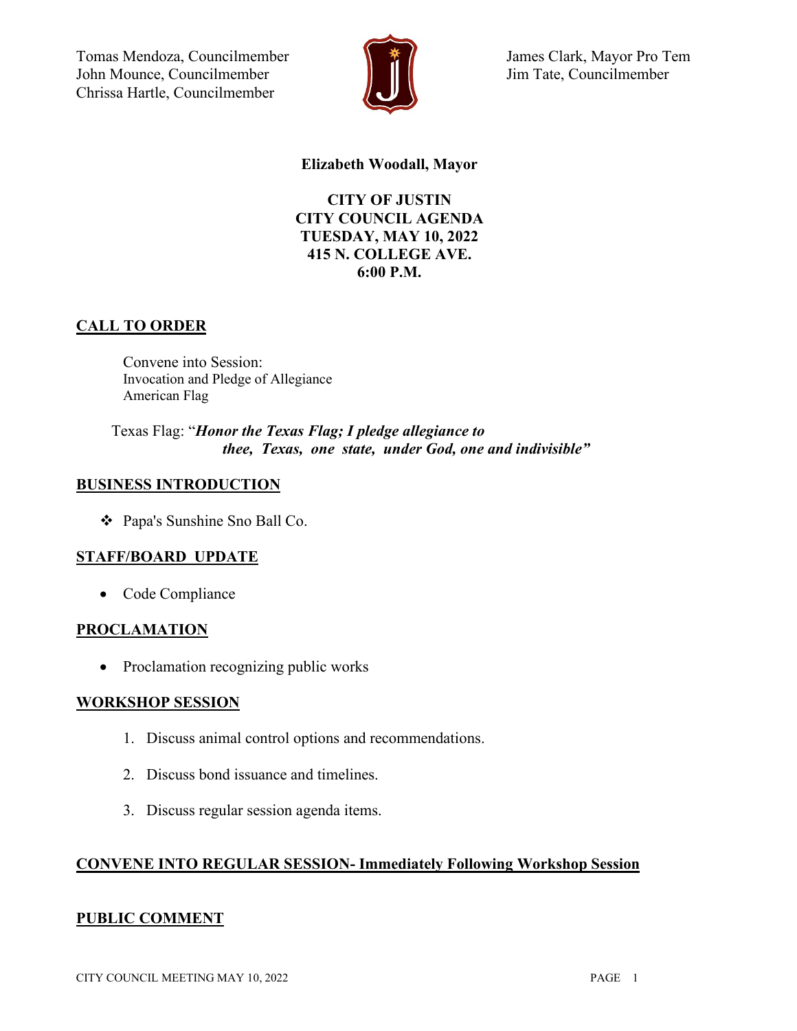Tomas Mendoza, Councilmember John Mounce, Councilmember Chrissa Hartle, Councilmember



 James Clark, Mayor Pro Tem Jim Tate, Councilmember

### **Elizabeth Woodall, Mayor**

**CITY OF JUSTIN CITY COUNCIL AGENDA TUESDAY, MAY 10, 2022 415 N. COLLEGE AVE. 6:00 P.M.**

## **CALL TO ORDER**

Convene into Session: Invocation and Pledge of Allegiance American Flag

Texas Flag: "*Honor the Texas Flag; I pledge allegiance to thee, Texas, one state, under God, one and indivisible"*

### **BUSINESS INTRODUCTION**

Papa's Sunshine Sno Ball Co.

### **STAFF/BOARD UPDATE**

• Code Compliance

### **PROCLAMATION**

• Proclamation recognizing public works

### **WORKSHOP SESSION**

- 1. Discuss animal control options and recommendations.
- 2. Discuss bond issuance and timelines.
- 3. Discuss regular session agenda items.

### **CONVENE INTO REGULAR SESSION- Immediately Following Workshop Session**

### **PUBLIC COMMENT**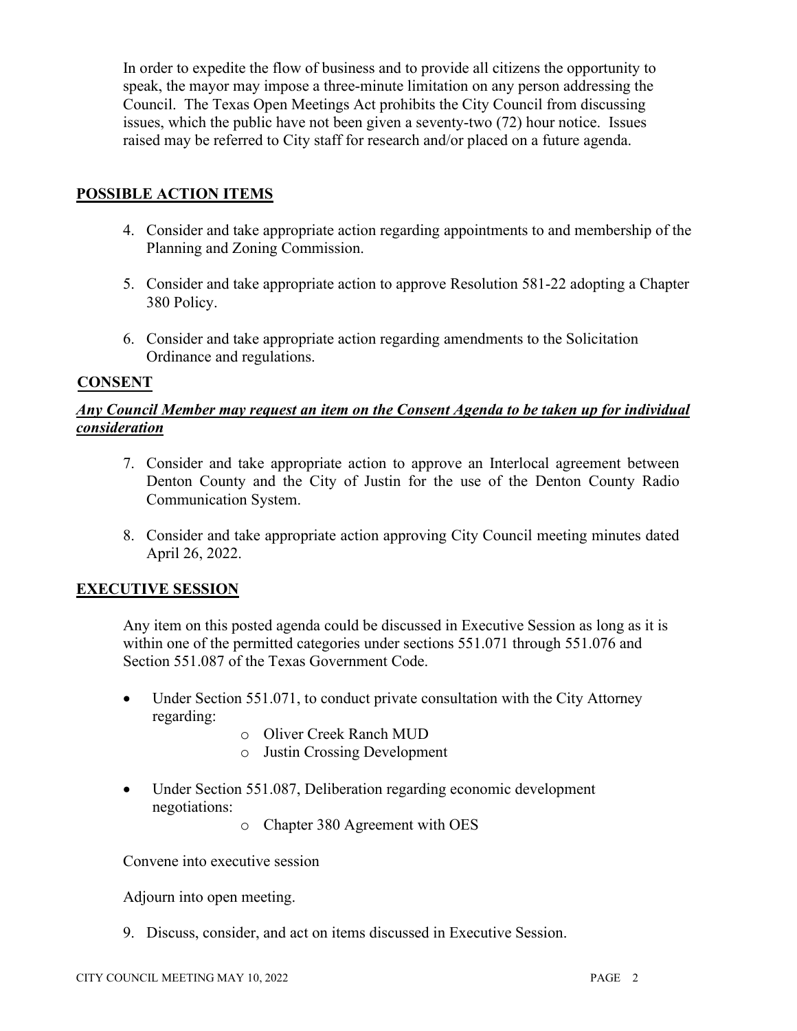In order to expedite the flow of business and to provide all citizens the opportunity to speak, the mayor may impose a three-minute limitation on any person addressing the Council. The Texas Open Meetings Act prohibits the City Council from discussing issues, which the public have not been given a seventy-two (72) hour notice. Issues raised may be referred to City staff for research and/or placed on a future agenda.

## **POSSIBLE ACTION ITEMS**

- 4. Consider and take appropriate action regarding appointments to and membership of the Planning and Zoning Commission.
- 5. Consider and take appropriate action to approve Resolution 581-22 adopting a Chapter 380 Policy.
- 6. Consider and take appropriate action regarding amendments to the Solicitation Ordinance and regulations.

### **CONSENT**

### *Any Council Member may request an item on the Consent Agenda to be taken up for individual consideration*

- 7. Consider and take appropriate action to approve an Interlocal agreement between Denton County and the City of Justin for the use of the Denton County Radio Communication System.
- 8. Consider and take appropriate action approving City Council meeting minutes dated April 26, 2022.

### **EXECUTIVE SESSION**

Any item on this posted agenda could be discussed in Executive Session as long as it is within one of the permitted categories under sections 551.071 through 551.076 and Section 551.087 of the Texas Government Code.

- Under Section 551.071, to conduct private consultation with the City Attorney regarding:
	- o Oliver Creek Ranch MUD
	- o Justin Crossing Development
- Under Section 551.087, Deliberation regarding economic development negotiations:

o Chapter 380 Agreement with OES

Convene into executive session

Adjourn into open meeting.

9. Discuss, consider, and act on items discussed in Executive Session.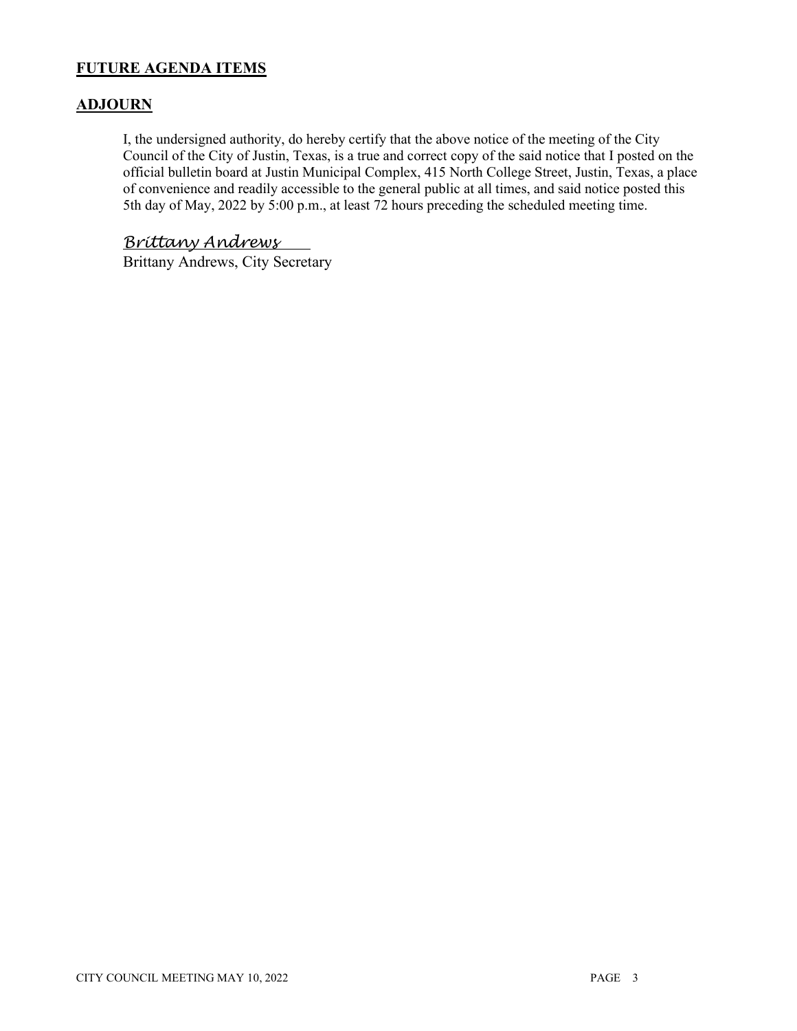## **FUTURE AGENDA ITEMS**

### **ADJOURN**

I, the undersigned authority, do hereby certify that the above notice of the meeting of the City Council of the City of Justin, Texas, is a true and correct copy of the said notice that I posted on the official bulletin board at Justin Municipal Complex, 415 North College Street, Justin, Texas, a place of convenience and readily accessible to the general public at all times, and said notice posted this 5th day of May, 2022 by 5:00 p.m., at least 72 hours preceding the scheduled meeting time.

## *Brittany Andrews*

Brittany Andrews, City Secretary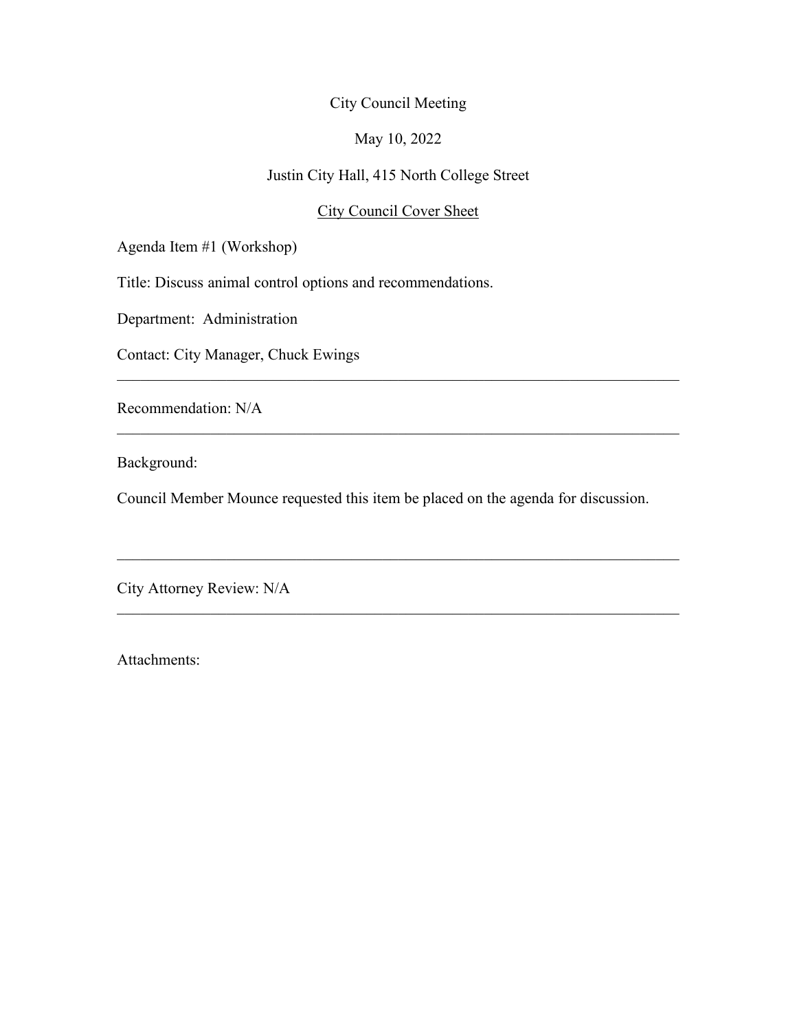### May 10, 2022

## Justin City Hall, 415 North College Street

### City Council Cover Sheet

 $\mathcal{L}_\text{G}$  , and the contribution of the contribution of the contribution of the contribution of the contribution of the contribution of the contribution of the contribution of the contribution of the contribution of t

 $\mathcal{L}_\text{G}$  , and the contribution of the contribution of the contribution of the contribution of the contribution of the contribution of the contribution of the contribution of the contribution of the contribution of t

 $\mathcal{L}_\text{G}$  , and the contribution of the contribution of the contribution of the contribution of the contribution of the contribution of the contribution of the contribution of the contribution of the contribution of t

 $\mathcal{L}_\text{G}$  , and the contribution of the contribution of the contribution of the contribution of the contribution of the contribution of the contribution of the contribution of the contribution of the contribution of t

Agenda Item #1 (Workshop)

Title: Discuss animal control options and recommendations.

Department: Administration

Contact: City Manager, Chuck Ewings

Recommendation: N/A

Background:

Council Member Mounce requested this item be placed on the agenda for discussion.

City Attorney Review: N/A

Attachments: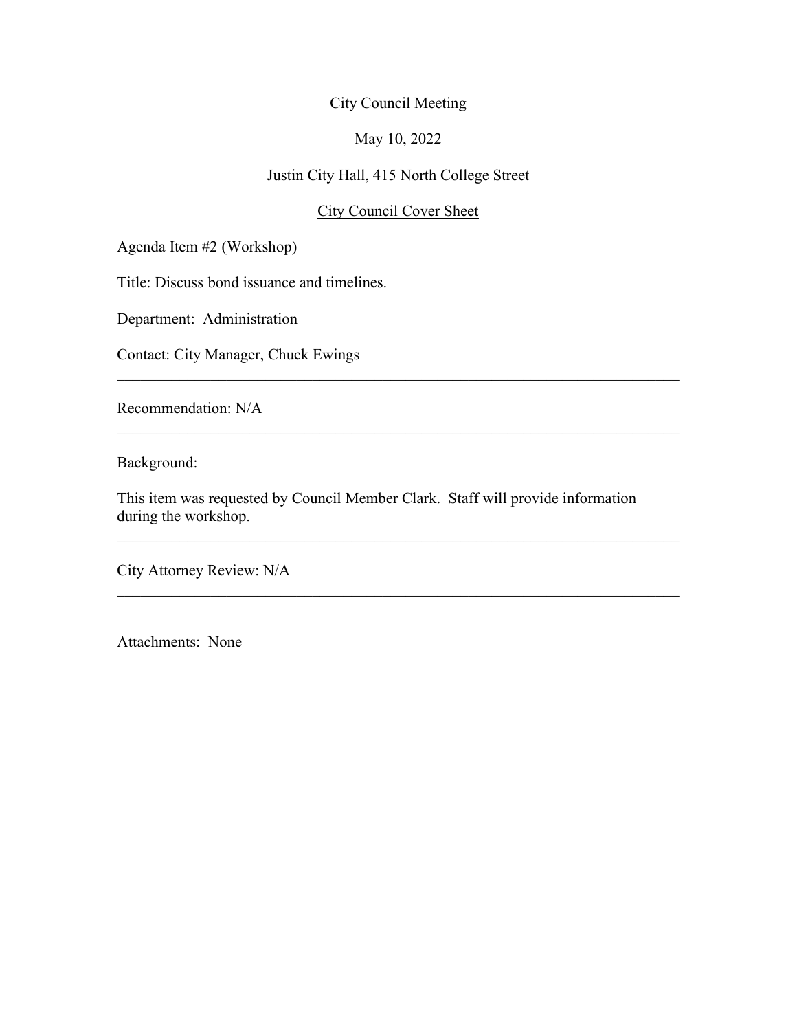### May 10, 2022

## Justin City Hall, 415 North College Street

### City Council Cover Sheet

 $\mathcal{L}_\text{G}$  , and the contribution of the contribution of the contribution of the contribution of the contribution of the contribution of the contribution of the contribution of the contribution of the contribution of t

 $\mathcal{L}_\text{G}$  , and the contribution of the contribution of the contribution of the contribution of the contribution of the contribution of the contribution of the contribution of the contribution of the contribution of t

 $\mathcal{L}_\text{G}$  , and the contribution of the contribution of the contribution of the contribution of the contribution of the contribution of the contribution of the contribution of the contribution of the contribution of t

Agenda Item #2 (Workshop)

Title: Discuss bond issuance and timelines.

Department: Administration

Contact: City Manager, Chuck Ewings

Recommendation: N/A

Background:

This item was requested by Council Member Clark. Staff will provide information during the workshop.

City Attorney Review: N/A

Attachments: None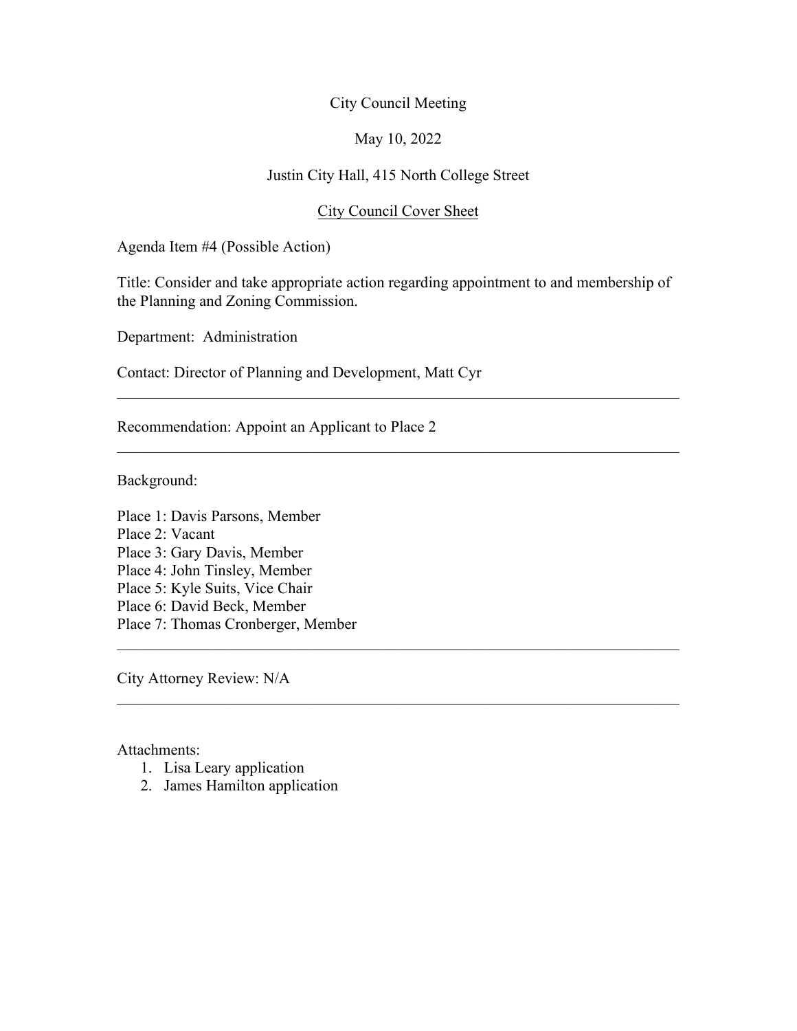#### May 10, 2022

## Justin City Hall, 415 North College Street

#### City Council Cover Sheet

Agenda Item #4 (Possible Action)

Title: Consider and take appropriate action regarding appointment to and membership of the Planning and Zoning Commission.

 $\mathcal{L}_\text{G}$  , and the contribution of the contribution of the contribution of the contribution of the contribution of the contribution of the contribution of the contribution of the contribution of the contribution of t

 $\mathcal{L}_\text{G}$  , and the contribution of the contribution of the contribution of the contribution of the contribution of the contribution of the contribution of the contribution of the contribution of the contribution of t

 $\mathcal{L}_\text{G}$  , and the contribution of the contribution of the contribution of the contribution of the contribution of the contribution of the contribution of the contribution of the contribution of the contribution of t

Department: Administration

Contact: Director of Planning and Development, Matt Cyr

Recommendation: Appoint an Applicant to Place 2

Background:

Place 1: Davis Parsons, Member Place 2: Vacant Place 3: Gary Davis, Member Place 4: John Tinsley, Member Place 5: Kyle Suits, Vice Chair Place 6: David Beck, Member Place 7: Thomas Cronberger, Member

City Attorney Review: N/A

#### Attachments:

- 1. Lisa Leary application
- 2. James Hamilton application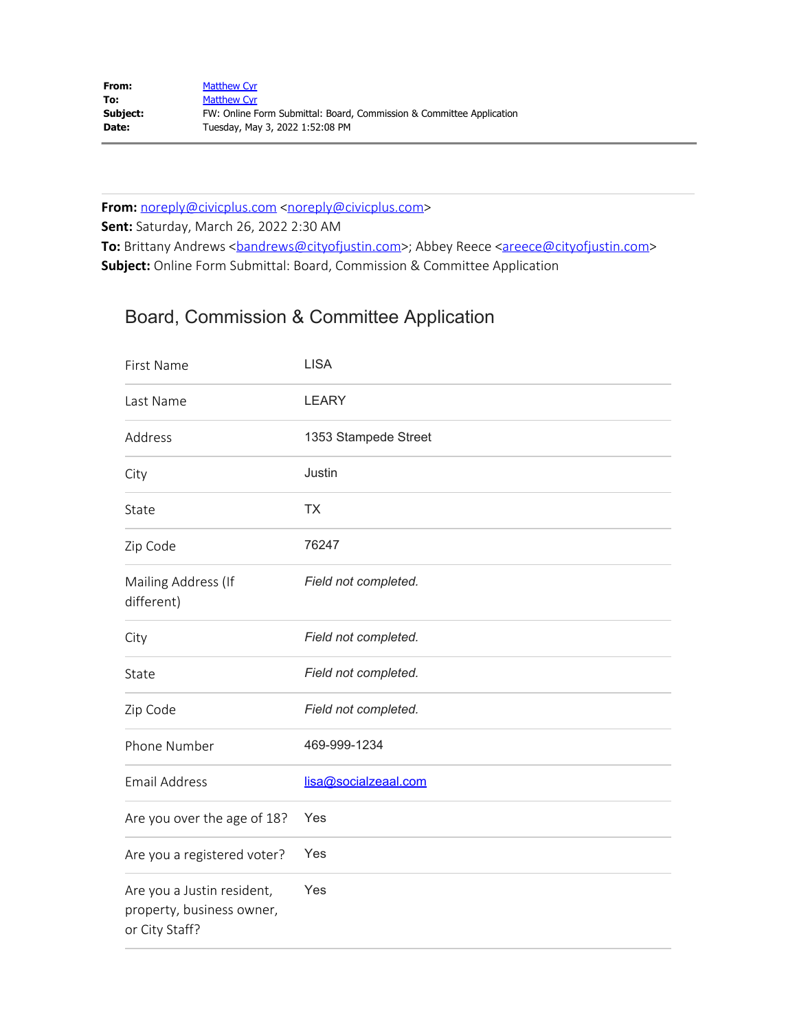| From:    | <b>Matthew Cyr</b>                                                   |
|----------|----------------------------------------------------------------------|
| To:      | <b>Matthew Cyr</b>                                                   |
| Subject: | FW: Online Form Submittal: Board, Commission & Committee Application |
| Date:    | Tuesday, May 3, 2022 1:52:08 PM                                      |

From: [noreply@civicplus.com](mailto:noreply@civicplus.com) <noreply@civicplus.com> **Sent:** Saturday, March 26, 2022 2:30 AM **To:** Brittany Andrews <**[bandrews@cityofjustin.com>](mailto:bandrews@cityofjustin.com)**; Abbey Reece <**areece@cityofjustin.com> Subject:** Online Form Submittal: Board, Commission & Committee Application

# Board, Commission & Committee Application

| First Name                                                                | <b>LISA</b>          |
|---------------------------------------------------------------------------|----------------------|
| Last Name                                                                 | <b>LEARY</b>         |
| Address                                                                   | 1353 Stampede Street |
| City                                                                      | Justin               |
| State                                                                     | <b>TX</b>            |
| Zip Code                                                                  | 76247                |
| Mailing Address (If<br>different)                                         | Field not completed. |
| City                                                                      | Field not completed. |
| State                                                                     | Field not completed. |
| Zip Code                                                                  | Field not completed. |
| Phone Number                                                              | 469-999-1234         |
| <b>Email Address</b>                                                      | lisa@socialzeaal.com |
| Are you over the age of 18?                                               | Yes                  |
| Are you a registered voter?                                               | Yes                  |
| Are you a Justin resident,<br>property, business owner,<br>or City Staff? | Yes                  |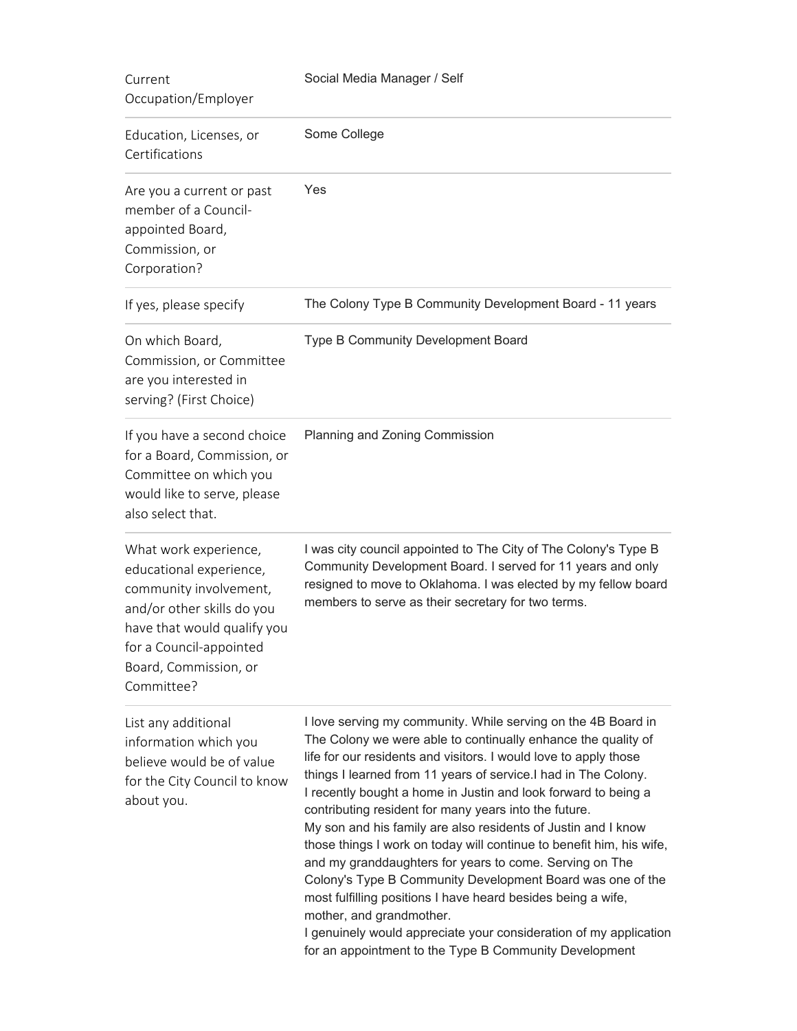| Current<br>Occupation/Employer                                                                                                                                                                            | Social Media Manager / Self                                                                                                                                                                                                                                                                                                                                                                                                                                                                                                                                                                                                                                                                                                                                                                                                                                                                  |  |  |  |
|-----------------------------------------------------------------------------------------------------------------------------------------------------------------------------------------------------------|----------------------------------------------------------------------------------------------------------------------------------------------------------------------------------------------------------------------------------------------------------------------------------------------------------------------------------------------------------------------------------------------------------------------------------------------------------------------------------------------------------------------------------------------------------------------------------------------------------------------------------------------------------------------------------------------------------------------------------------------------------------------------------------------------------------------------------------------------------------------------------------------|--|--|--|
| Education, Licenses, or<br>Certifications                                                                                                                                                                 | Some College                                                                                                                                                                                                                                                                                                                                                                                                                                                                                                                                                                                                                                                                                                                                                                                                                                                                                 |  |  |  |
| Are you a current or past<br>member of a Council-<br>appointed Board,<br>Commission, or<br>Corporation?                                                                                                   | Yes                                                                                                                                                                                                                                                                                                                                                                                                                                                                                                                                                                                                                                                                                                                                                                                                                                                                                          |  |  |  |
| If yes, please specify                                                                                                                                                                                    | The Colony Type B Community Development Board - 11 years                                                                                                                                                                                                                                                                                                                                                                                                                                                                                                                                                                                                                                                                                                                                                                                                                                     |  |  |  |
| On which Board,<br>Commission, or Committee<br>are you interested in<br>serving? (First Choice)                                                                                                           | Type B Community Development Board                                                                                                                                                                                                                                                                                                                                                                                                                                                                                                                                                                                                                                                                                                                                                                                                                                                           |  |  |  |
| If you have a second choice<br>for a Board, Commission, or<br>Committee on which you<br>would like to serve, please<br>also select that.                                                                  | Planning and Zoning Commission                                                                                                                                                                                                                                                                                                                                                                                                                                                                                                                                                                                                                                                                                                                                                                                                                                                               |  |  |  |
| What work experience,<br>educational experience,<br>community involvement,<br>and/or other skills do you<br>have that would qualify you<br>for a Council-appointed<br>Board, Commission, or<br>Committee? | I was city council appointed to The City of The Colony's Type B<br>Community Development Board. I served for 11 years and only<br>resigned to move to Oklahoma. I was elected by my fellow board<br>members to serve as their secretary for two terms.                                                                                                                                                                                                                                                                                                                                                                                                                                                                                                                                                                                                                                       |  |  |  |
| List any additional<br>information which you<br>believe would be of value<br>for the City Council to know<br>about you.                                                                                   | I love serving my community. While serving on the 4B Board in<br>The Colony we were able to continually enhance the quality of<br>life for our residents and visitors. I would love to apply those<br>things I learned from 11 years of service.I had in The Colony.<br>I recently bought a home in Justin and look forward to being a<br>contributing resident for many years into the future.<br>My son and his family are also residents of Justin and I know<br>those things I work on today will continue to benefit him, his wife,<br>and my granddaughters for years to come. Serving on The<br>Colony's Type B Community Development Board was one of the<br>most fulfilling positions I have heard besides being a wife,<br>mother, and grandmother.<br>I genuinely would appreciate your consideration of my application<br>for an appointment to the Type B Community Development |  |  |  |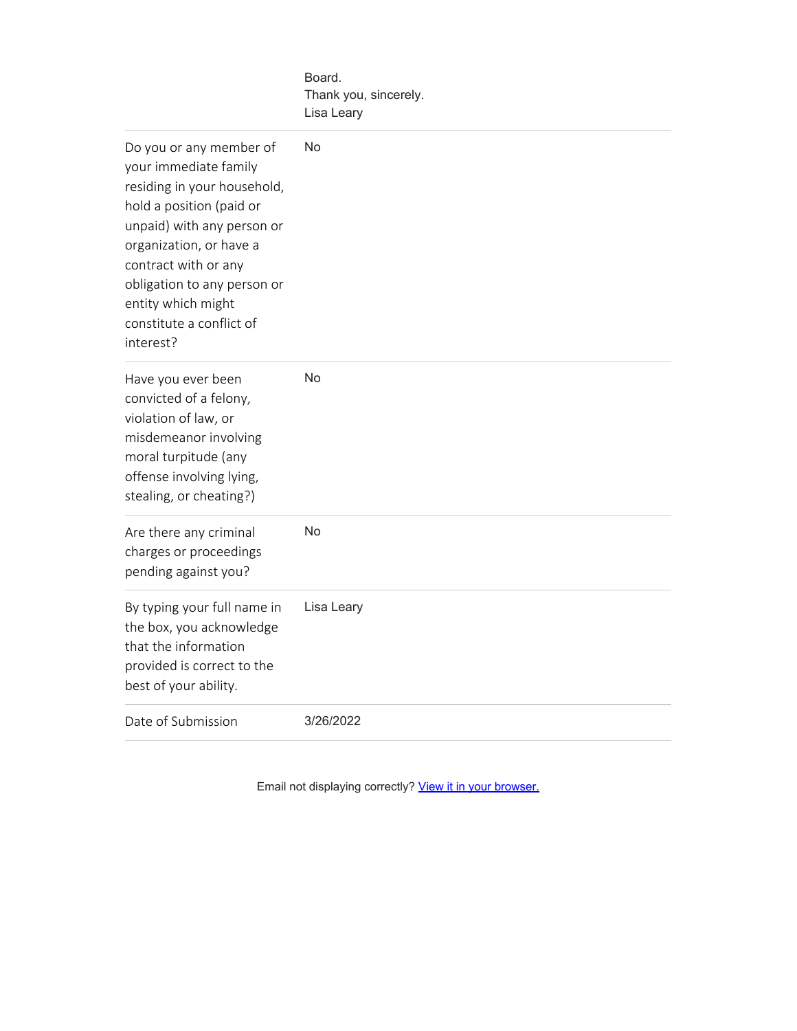|                                                                                                                                                                                                                                                                                            | Board.<br>Thank you, sincerely.<br>Lisa Leary |
|--------------------------------------------------------------------------------------------------------------------------------------------------------------------------------------------------------------------------------------------------------------------------------------------|-----------------------------------------------|
| Do you or any member of<br>your immediate family<br>residing in your household,<br>hold a position (paid or<br>unpaid) with any person or<br>organization, or have a<br>contract with or any<br>obligation to any person or<br>entity which might<br>constitute a conflict of<br>interest? | No                                            |
| Have you ever been<br>convicted of a felony,<br>violation of law, or<br>misdemeanor involving<br>moral turpitude (any<br>offense involving lying,<br>stealing, or cheating?)                                                                                                               | No                                            |
| Are there any criminal<br>charges or proceedings<br>pending against you?                                                                                                                                                                                                                   | No                                            |
| By typing your full name in<br>the box, you acknowledge<br>that the information<br>provided is correct to the<br>best of your ability.                                                                                                                                                     | Lisa Leary                                    |
| Date of Submission                                                                                                                                                                                                                                                                         | 3/26/2022                                     |

Email not displaying correctly? [View it in your browser.](http://www.cityofjustin.com/Admin/FormCenter/Submissions/Edit?id=695&categoryID=0&formID=48&displayType=%20SubmissionsView&startDate=%20&endDate=%20&dateRange=%20Last30Days&searchKeyword=%20¤tPage=%200&sortFieldID=%200&sortAscending=%20False&selectedFields=%20¶meters=%20CivicPlus.Entities.Core.ModuleParameter&submissionDataDisplayType=0&backURL=%2fAdmin%2fFormCenter%2fSubmissions%2fIndex%2f48%3fcategoryID%3d6)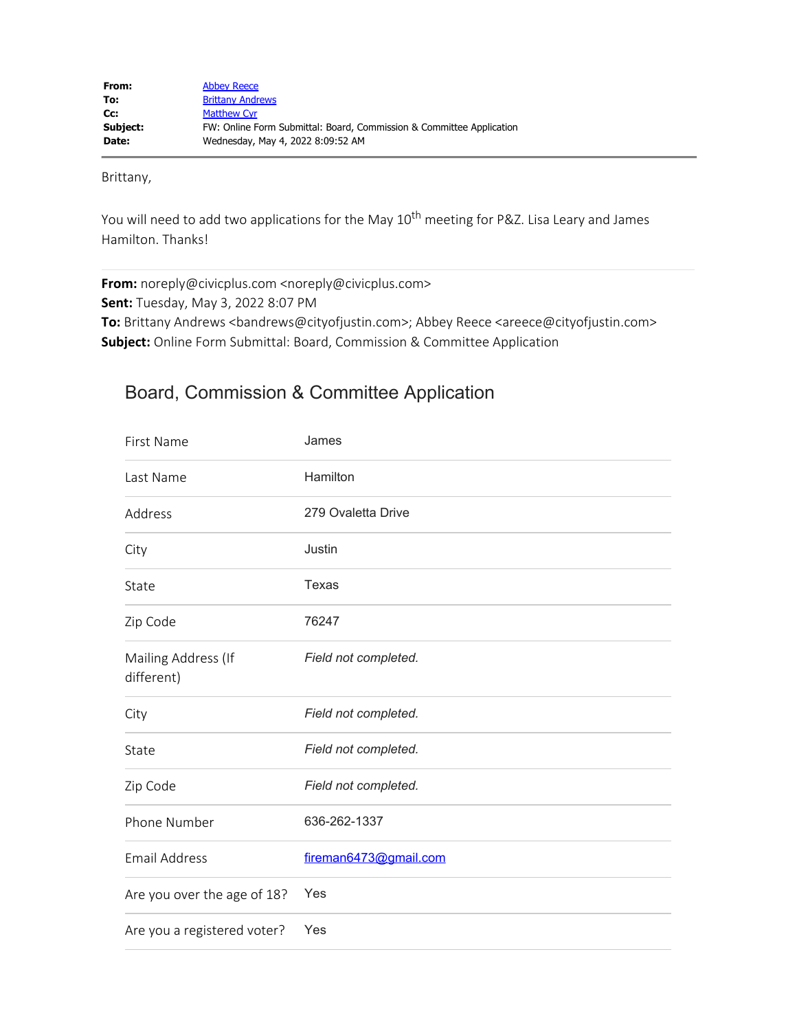Brittany,

You will need to add two applications for the May 10<sup>th</sup> meeting for P&Z. Lisa Leary and James Hamilton. Thanks!

**From:** noreply@civicplus.com <noreply@civicplus.com> **Sent:** Tuesday, May 3, 2022 8:07 PM **To:** Brittany Andrews <bandrews@cityofjustin.com>; Abbey Reece <areece@cityofjustin.com> **Subject:** Online Form Submittal: Board, Commission & Committee Application

# Board, Commission & Committee Application

| James                 |
|-----------------------|
| Hamilton              |
| 279 Ovaletta Drive    |
| Justin                |
| Texas                 |
| 76247                 |
| Field not completed.  |
| Field not completed.  |
| Field not completed.  |
| Field not completed.  |
| 636-262-1337          |
| fireman6473@gmail.com |
| Yes                   |
| Yes                   |
|                       |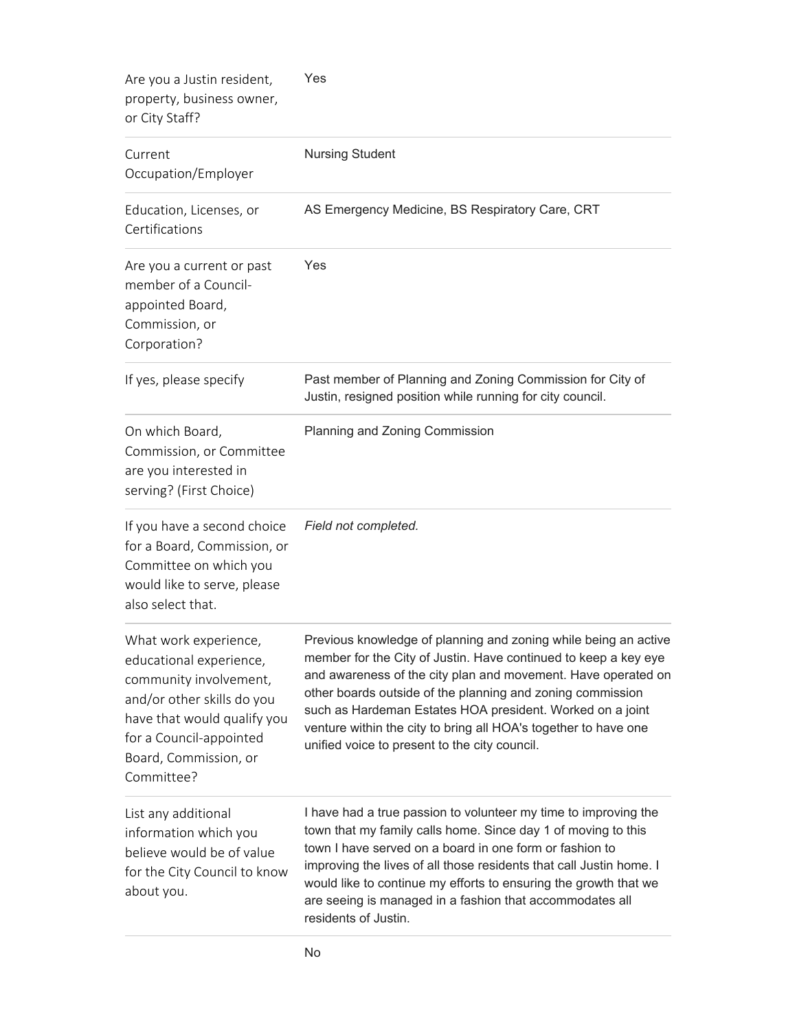| Are you a Justin resident,<br>property, business owner,<br>or City Staff?                                                                                                                                 | Yes<br><b>Nursing Student</b>                                                                                                                                                                                                                                                                                                                                                                                                                      |  |  |  |
|-----------------------------------------------------------------------------------------------------------------------------------------------------------------------------------------------------------|----------------------------------------------------------------------------------------------------------------------------------------------------------------------------------------------------------------------------------------------------------------------------------------------------------------------------------------------------------------------------------------------------------------------------------------------------|--|--|--|
| Current<br>Occupation/Employer                                                                                                                                                                            |                                                                                                                                                                                                                                                                                                                                                                                                                                                    |  |  |  |
| Education, Licenses, or<br>Certifications                                                                                                                                                                 | AS Emergency Medicine, BS Respiratory Care, CRT                                                                                                                                                                                                                                                                                                                                                                                                    |  |  |  |
| Are you a current or past<br>member of a Council-<br>appointed Board,<br>Commission, or<br>Corporation?                                                                                                   | Yes                                                                                                                                                                                                                                                                                                                                                                                                                                                |  |  |  |
| If yes, please specify                                                                                                                                                                                    | Past member of Planning and Zoning Commission for City of<br>Justin, resigned position while running for city council.                                                                                                                                                                                                                                                                                                                             |  |  |  |
| On which Board,<br>Commission, or Committee<br>are you interested in<br>serving? (First Choice)                                                                                                           | Planning and Zoning Commission                                                                                                                                                                                                                                                                                                                                                                                                                     |  |  |  |
| If you have a second choice<br>for a Board, Commission, or<br>Committee on which you<br>would like to serve, please<br>also select that.                                                                  | Field not completed.                                                                                                                                                                                                                                                                                                                                                                                                                               |  |  |  |
| What work experience,<br>educational experience,<br>community involvement,<br>and/or other skills do you<br>have that would qualify you<br>for a Council-appointed<br>Board, Commission, or<br>Committee? | Previous knowledge of planning and zoning while being an active<br>member for the City of Justin. Have continued to keep a key eye<br>and awareness of the city plan and movement. Have operated on<br>other boards outside of the planning and zoning commission<br>such as Hardeman Estates HOA president. Worked on a joint<br>venture within the city to bring all HOA's together to have one<br>unified voice to present to the city council. |  |  |  |
| List any additional<br>information which you<br>believe would be of value<br>for the City Council to know<br>about you.                                                                                   | I have had a true passion to volunteer my time to improving the<br>town that my family calls home. Since day 1 of moving to this<br>town I have served on a board in one form or fashion to<br>improving the lives of all those residents that call Justin home. I<br>would like to continue my efforts to ensuring the growth that we<br>are seeing is managed in a fashion that accommodates all<br>residents of Justin.                         |  |  |  |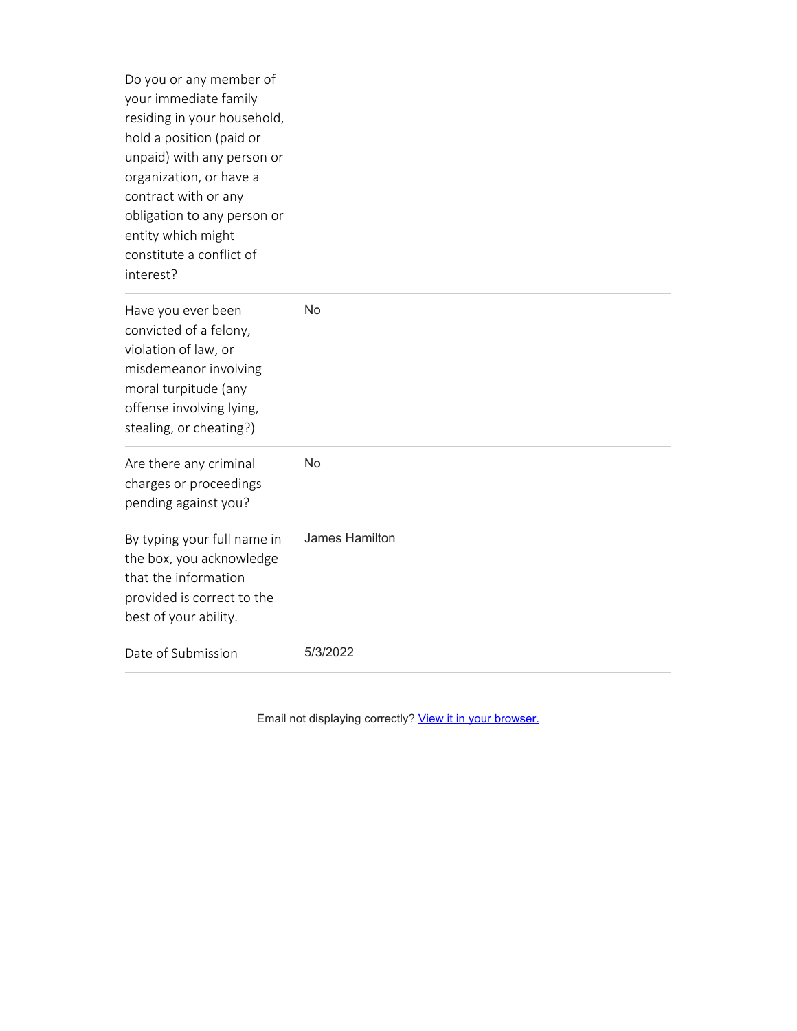Do you or any member of your immediate family residing in your household, hold a position (paid or unpaid) with any person or organization, or have a contract with or any obligation to any person or entity which might constitute a conflict of interest?

| Have you ever been<br>convicted of a felony,<br>violation of law, or<br>misdemeanor involving<br>moral turpitude (any<br>offense involving lying,<br>stealing, or cheating?) | No             |  |  |
|------------------------------------------------------------------------------------------------------------------------------------------------------------------------------|----------------|--|--|
| Are there any criminal<br>charges or proceedings<br>pending against you?                                                                                                     | <b>No</b>      |  |  |
| By typing your full name in<br>the box, you acknowledge<br>that the information<br>provided is correct to the<br>best of your ability.                                       | James Hamilton |  |  |
| Date of Submission                                                                                                                                                           | 5/3/2022       |  |  |

Email not displaying correctly? [View it in your browser.](http://www.cityofjustin.com/Admin/FormCenter/Submissions/Edit?id=843&categoryID=0&formID=48&displayType=%20SubmissionsView&startDate=%20&endDate=%20&dateRange=%20Last30Days&searchKeyword=%20¤tPage=%200&sortFieldID=%200&sortAscending=%20False&selectedFields=%20¶meters=%20CivicPlus.Entities.Core.ModuleParameter&submissionDataDisplayType=0&backURL=%2fAdmin%2fFormCenter%2fSubmissions%2fIndex%2f48%3fcategoryID%3d6)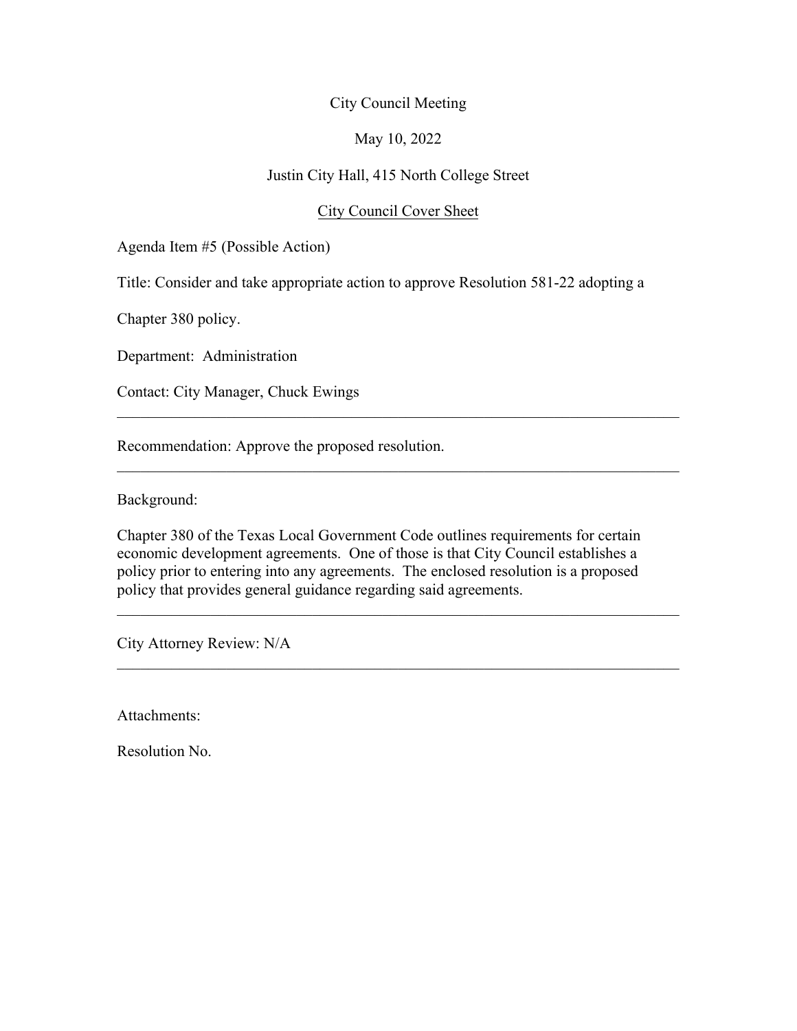### May 10, 2022

### Justin City Hall, 415 North College Street

### City Council Cover Sheet

 $\mathcal{L}_\text{G}$  , and the contribution of the contribution of the contribution of the contribution of the contribution of the contribution of the contribution of the contribution of the contribution of the contribution of t

 $\_$  , and the set of the set of the set of the set of the set of the set of the set of the set of the set of the set of the set of the set of the set of the set of the set of the set of the set of the set of the set of th

 $\_$  , and the set of the set of the set of the set of the set of the set of the set of the set of the set of the set of the set of the set of the set of the set of the set of the set of the set of the set of the set of th

Agenda Item #5 (Possible Action)

Title: Consider and take appropriate action to approve Resolution 581-22 adopting a

Chapter 380 policy.

Department: Administration

Contact: City Manager, Chuck Ewings

Recommendation: Approve the proposed resolution.

Background:

Chapter 380 of the Texas Local Government Code outlines requirements for certain economic development agreements. One of those is that City Council establishes a policy prior to entering into any agreements. The enclosed resolution is a proposed policy that provides general guidance regarding said agreements.

City Attorney Review: N/A

Attachments:

Resolution No.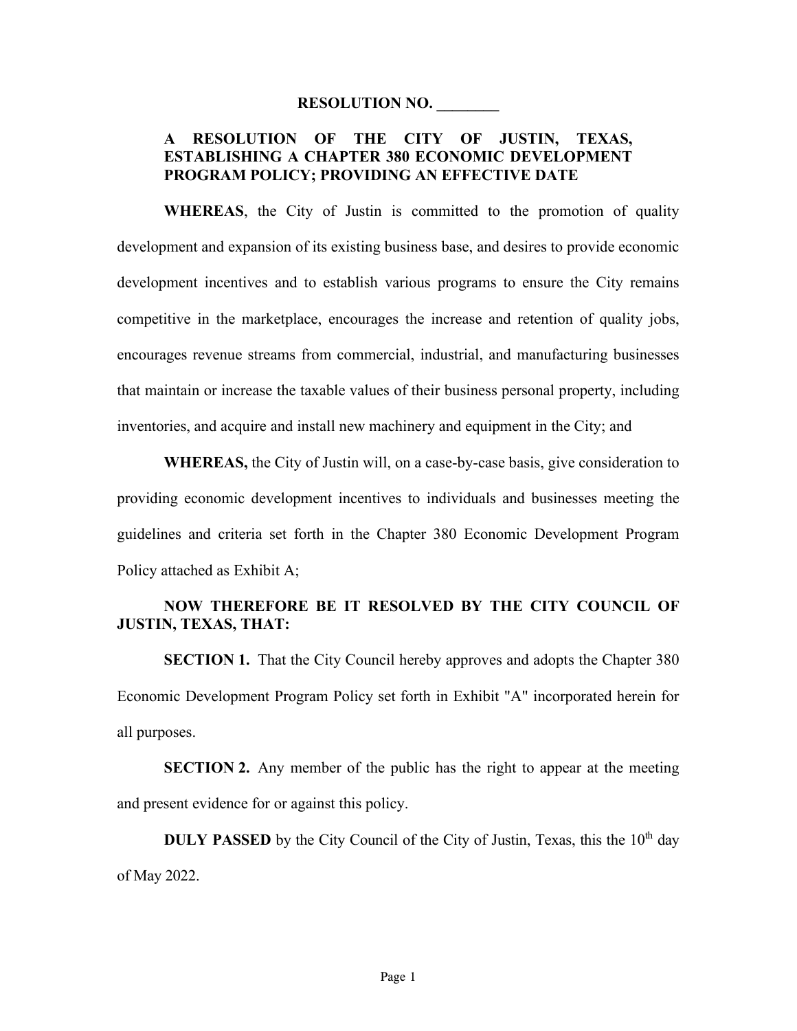#### **RESOLUTION NO. \_\_\_\_\_\_\_\_**

### **A RESOLUTION OF THE CITY OF JUSTIN, TEXAS, ESTABLISHING A CHAPTER 380 ECONOMIC DEVELOPMENT PROGRAM POLICY; PROVIDING AN EFFECTIVE DATE**

**WHEREAS**, the City of Justin is committed to the promotion of quality development and expansion of its existing business base, and desires to provide economic development incentives and to establish various programs to ensure the City remains competitive in the marketplace, encourages the increase and retention of quality jobs, encourages revenue streams from commercial, industrial, and manufacturing businesses that maintain or increase the taxable values of their business personal property, including inventories, and acquire and install new machinery and equipment in the City; and

**WHEREAS,** the City of Justin will, on a case-by-case basis, give consideration to providing economic development incentives to individuals and businesses meeting the guidelines and criteria set forth in the Chapter 380 Economic Development Program Policy attached as Exhibit A;

### **NOW THEREFORE BE IT RESOLVED BY THE CITY COUNCIL OF JUSTIN, TEXAS, THAT:**

**SECTION 1.** That the City Council hereby approves and adopts the Chapter 380 Economic Development Program Policy set forth in Exhibit "A" incorporated herein for all purposes.

**SECTION 2.** Any member of the public has the right to appear at the meeting and present evidence for or against this policy.

**DULY PASSED** by the City Council of the City of Justin, Texas, this the  $10<sup>th</sup>$  day of May 2022.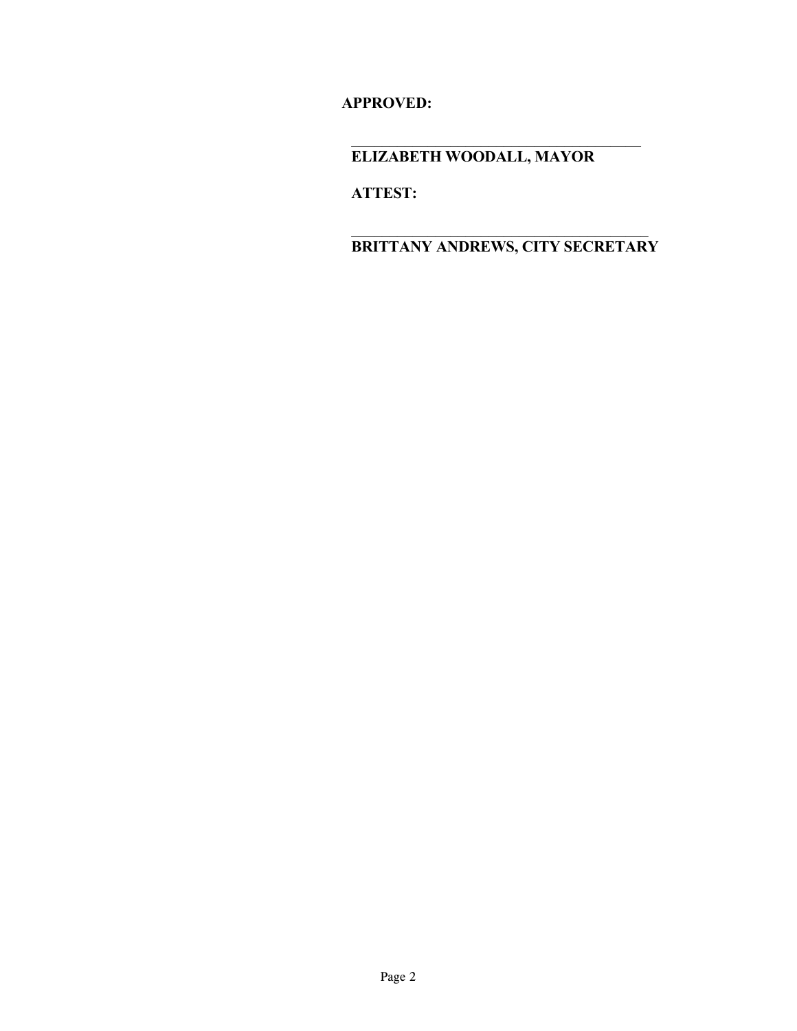**APPROVED:**

**ELIZABETH WOODALL, MAYOR**

**ATTEST:**

**BRITTANY ANDREWS, CITY SECRETARY**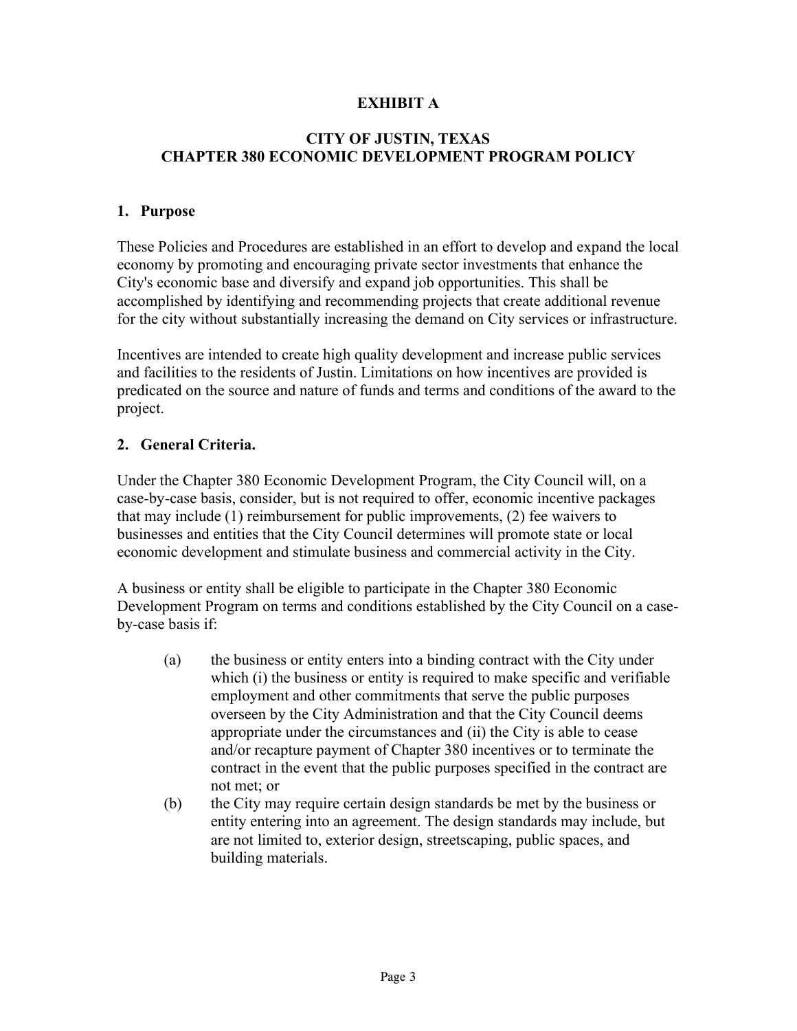## **EXHIBIT A**

### **CITY OF JUSTIN, TEXAS CHAPTER 380 ECONOMIC DEVELOPMENT PROGRAM POLICY**

### **1. Purpose**

These Policies and Procedures are established in an effort to develop and expand the local economy by promoting and encouraging private sector investments that enhance the City's economic base and diversify and expand job opportunities. This shall be accomplished by identifying and recommending projects that create additional revenue for the city without substantially increasing the demand on City services or infrastructure.

Incentives are intended to create high quality development and increase public services and facilities to the residents of Justin. Limitations on how incentives are provided is predicated on the source and nature of funds and terms and conditions of the award to the project.

### **2. General Criteria.**

Under the Chapter 380 Economic Development Program, the City Council will, on a case-by-case basis, consider, but is not required to offer, economic incentive packages that may include (1) reimbursement for public improvements, (2) fee waivers to businesses and entities that the City Council determines will promote state or local economic development and stimulate business and commercial activity in the City.

A business or entity shall be eligible to participate in the Chapter 380 Economic Development Program on terms and conditions established by the City Council on a caseby-case basis if:

- (a) the business or entity enters into a binding contract with the City under which (i) the business or entity is required to make specific and verifiable employment and other commitments that serve the public purposes overseen by the City Administration and that the City Council deems appropriate under the circumstances and (ii) the City is able to cease and/or recapture payment of Chapter 380 incentives or to terminate the contract in the event that the public purposes specified in the contract are not met; or
- (b) the City may require certain design standards be met by the business or entity entering into an agreement. The design standards may include, but are not limited to, exterior design, streetscaping, public spaces, and building materials.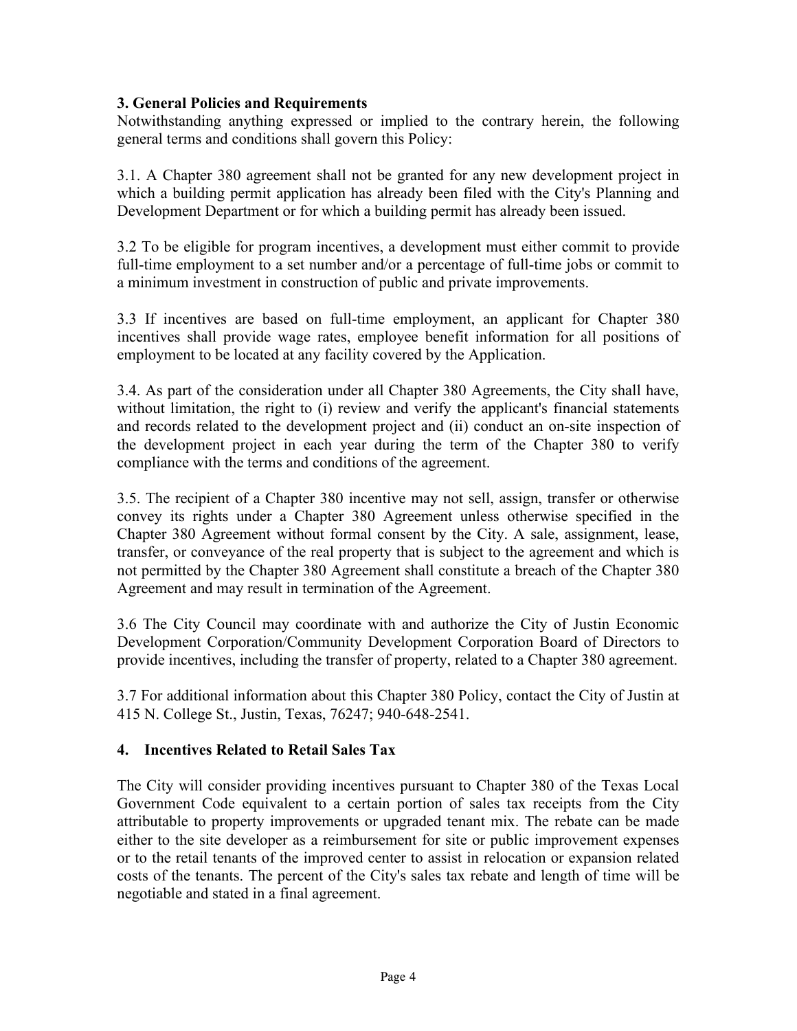## **3. General Policies and Requirements**

Notwithstanding anything expressed or implied to the contrary herein, the following general terms and conditions shall govern this Policy:

3.1. A Chapter 380 agreement shall not be granted for any new development project in which a building permit application has already been filed with the City's Planning and Development Department or for which a building permit has already been issued.

3.2 To be eligible for program incentives, a development must either commit to provide full-time employment to a set number and/or a percentage of full-time jobs or commit to a minimum investment in construction of public and private improvements.

3.3 If incentives are based on full-time employment, an applicant for Chapter 380 incentives shall provide wage rates, employee benefit information for all positions of employment to be located at any facility covered by the Application.

3.4. As part of the consideration under all Chapter 380 Agreements, the City shall have, without limitation, the right to (i) review and verify the applicant's financial statements and records related to the development project and (ii) conduct an on-site inspection of the development project in each year during the term of the Chapter 380 to verify compliance with the terms and conditions of the agreement.

3.5. The recipient of a Chapter 380 incentive may not sell, assign, transfer or otherwise convey its rights under a Chapter 380 Agreement unless otherwise specified in the Chapter 380 Agreement without formal consent by the City. A sale, assignment, lease, transfer, or conveyance of the real property that is subject to the agreement and which is not permitted by the Chapter 380 Agreement shall constitute a breach of the Chapter 380 Agreement and may result in termination of the Agreement.

3.6 The City Council may coordinate with and authorize the City of Justin Economic Development Corporation/Community Development Corporation Board of Directors to provide incentives, including the transfer of property, related to a Chapter 380 agreement.

3.7 For additional information about this Chapter 380 Policy, contact the City of Justin at 415 N. College St., Justin, Texas, 76247; 940-648-2541.

## **4. Incentives Related to Retail Sales Tax**

The City will consider providing incentives pursuant to Chapter 380 of the Texas Local Government Code equivalent to a certain portion of sales tax receipts from the City attributable to property improvements or upgraded tenant mix. The rebate can be made either to the site developer as a reimbursement for site or public improvement expenses or to the retail tenants of the improved center to assist in relocation or expansion related costs of the tenants. The percent of the City's sales tax rebate and length of time will be negotiable and stated in a final agreement.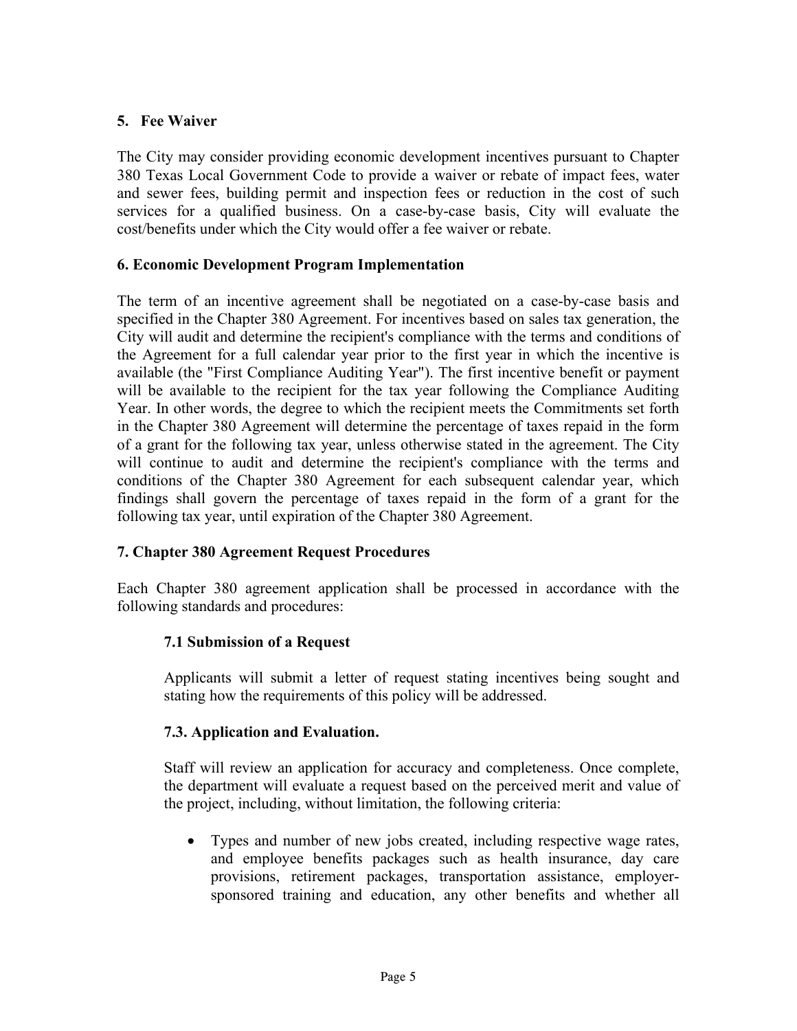## **5. Fee Waiver**

The City may consider providing economic development incentives pursuant to Chapter 380 Texas Local Government Code to provide a waiver or rebate of impact fees, water and sewer fees, building permit and inspection fees or reduction in the cost of such services for a qualified business. On a case-by-case basis, City will evaluate the cost/benefits under which the City would offer a fee waiver or rebate.

### **6. Economic Development Program Implementation**

The term of an incentive agreement shall be negotiated on a case-by-case basis and specified in the Chapter 380 Agreement. For incentives based on sales tax generation, the City will audit and determine the recipient's compliance with the terms and conditions of the Agreement for a full calendar year prior to the first year in which the incentive is available (the "First Compliance Auditing Year"). The first incentive benefit or payment will be available to the recipient for the tax year following the Compliance Auditing Year. In other words, the degree to which the recipient meets the Commitments set forth in the Chapter 380 Agreement will determine the percentage of taxes repaid in the form of a grant for the following tax year, unless otherwise stated in the agreement. The City will continue to audit and determine the recipient's compliance with the terms and conditions of the Chapter 380 Agreement for each subsequent calendar year, which findings shall govern the percentage of taxes repaid in the form of a grant for the following tax year, until expiration of the Chapter 380 Agreement.

### **7. Chapter 380 Agreement Request Procedures**

Each Chapter 380 agreement application shall be processed in accordance with the following standards and procedures:

### **7.1 Submission of a Request**

Applicants will submit a letter of request stating incentives being sought and stating how the requirements of this policy will be addressed.

### **7.3. Application and Evaluation.**

Staff will review an application for accuracy and completeness. Once complete, the department will evaluate a request based on the perceived merit and value of the project, including, without limitation, the following criteria:

• Types and number of new jobs created, including respective wage rates, and employee benefits packages such as health insurance, day care provisions, retirement packages, transportation assistance, employersponsored training and education, any other benefits and whether all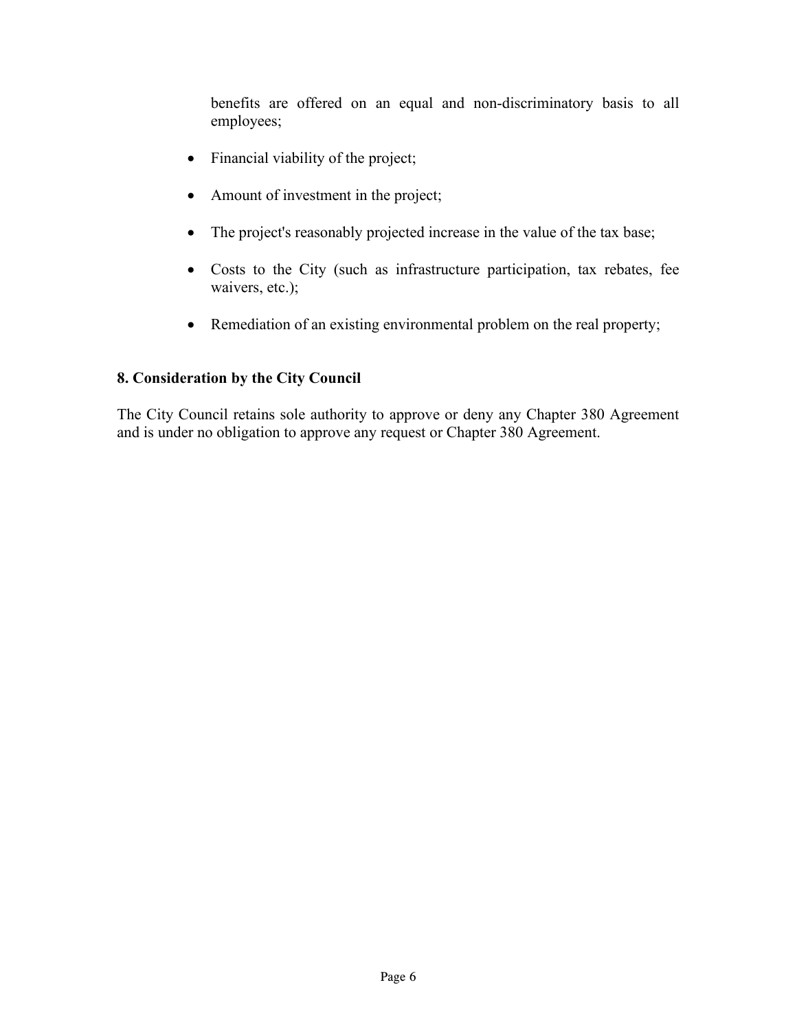benefits are offered on an equal and non-discriminatory basis to all employees;

- Financial viability of the project;
- Amount of investment in the project;
- The project's reasonably projected increase in the value of the tax base;
- Costs to the City (such as infrastructure participation, tax rebates, fee waivers, etc.);
- Remediation of an existing environmental problem on the real property;

## **8. Consideration by the City Council**

The City Council retains sole authority to approve or deny any Chapter 380 Agreement and is under no obligation to approve any request or Chapter 380 Agreement.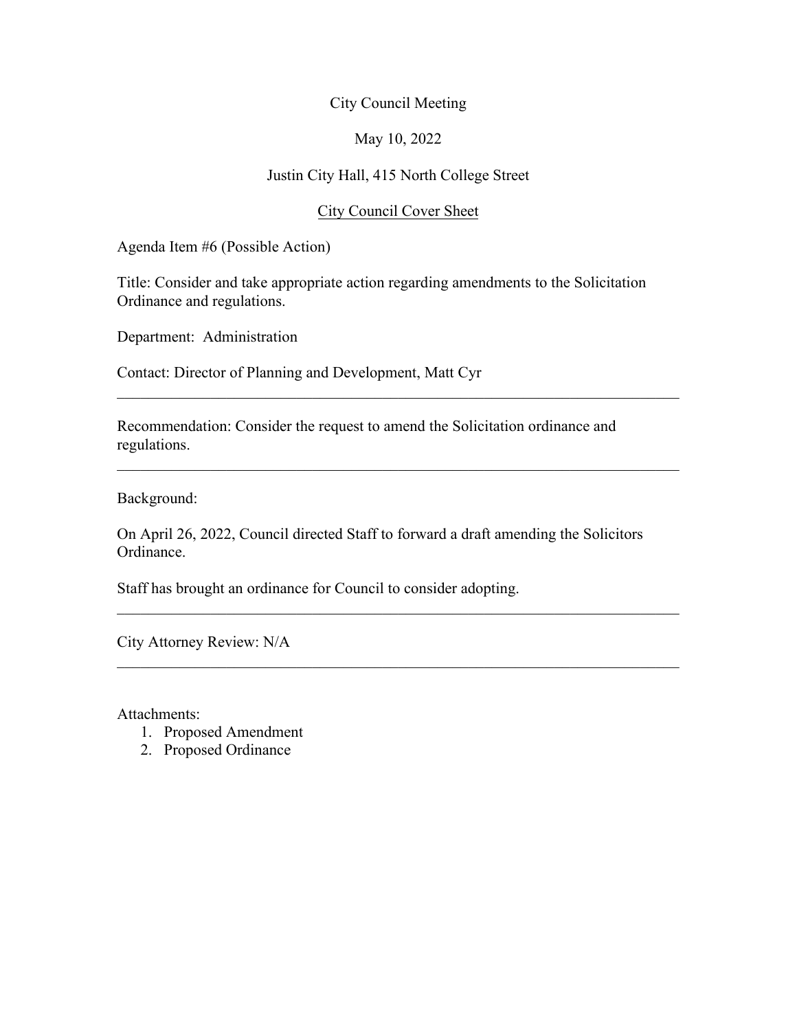### May 10, 2022

### Justin City Hall, 415 North College Street

### City Council Cover Sheet

Agenda Item #6 (Possible Action)

Title: Consider and take appropriate action regarding amendments to the Solicitation Ordinance and regulations.

 $\mathcal{L}_\mathcal{L} = \mathcal{L}_\mathcal{L} = \mathcal{L}_\mathcal{L} = \mathcal{L}_\mathcal{L} = \mathcal{L}_\mathcal{L} = \mathcal{L}_\mathcal{L} = \mathcal{L}_\mathcal{L} = \mathcal{L}_\mathcal{L} = \mathcal{L}_\mathcal{L} = \mathcal{L}_\mathcal{L} = \mathcal{L}_\mathcal{L} = \mathcal{L}_\mathcal{L} = \mathcal{L}_\mathcal{L} = \mathcal{L}_\mathcal{L} = \mathcal{L}_\mathcal{L} = \mathcal{L}_\mathcal{L} = \mathcal{L}_\mathcal{L}$ 

 $\mathcal{L}_\text{G}$  , and the contribution of the contribution of the contribution of the contribution of the contribution of the contribution of the contribution of the contribution of the contribution of the contribution of t

 $\mathcal{L}_\text{G}$  , and the contribution of the contribution of the contribution of the contribution of the contribution of the contribution of the contribution of the contribution of the contribution of the contribution of t

 $\mathcal{L}_\mathcal{L} = \mathcal{L}_\mathcal{L} = \mathcal{L}_\mathcal{L} = \mathcal{L}_\mathcal{L} = \mathcal{L}_\mathcal{L} = \mathcal{L}_\mathcal{L} = \mathcal{L}_\mathcal{L} = \mathcal{L}_\mathcal{L} = \mathcal{L}_\mathcal{L} = \mathcal{L}_\mathcal{L} = \mathcal{L}_\mathcal{L} = \mathcal{L}_\mathcal{L} = \mathcal{L}_\mathcal{L} = \mathcal{L}_\mathcal{L} = \mathcal{L}_\mathcal{L} = \mathcal{L}_\mathcal{L} = \mathcal{L}_\mathcal{L}$ 

Department: Administration

Contact: Director of Planning and Development, Matt Cyr

Recommendation: Consider the request to amend the Solicitation ordinance and regulations.

Background:

On April 26, 2022, Council directed Staff to forward a draft amending the Solicitors Ordinance.

Staff has brought an ordinance for Council to consider adopting.

City Attorney Review: N/A

Attachments:

- 1. Proposed Amendment
- 2. Proposed Ordinance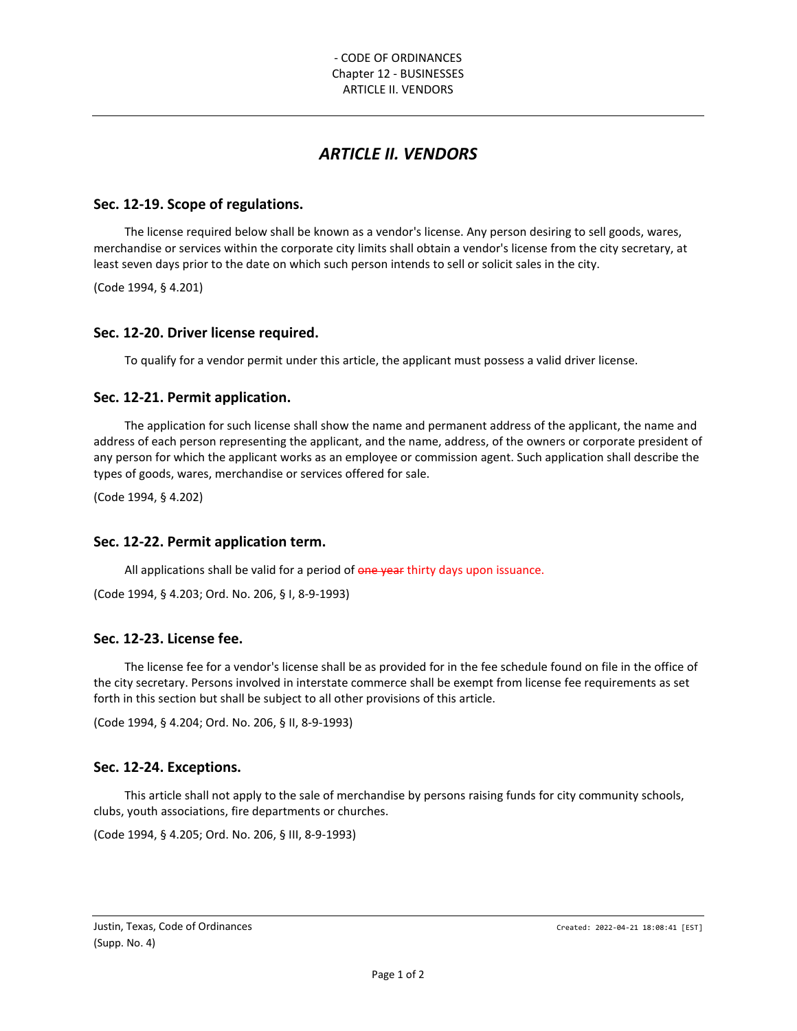## *ARTICLE II. VENDORS*

#### **Sec. 12-19. Scope of regulations.**

The license required below shall be known as a vendor's license. Any person desiring to sell goods, wares, merchandise or services within the corporate city limits shall obtain a vendor's license from the city secretary, at least seven days prior to the date on which such person intends to sell or solicit sales in the city.

(Code 1994, § 4.201)

#### **Sec. 12-20. Driver license required.**

To qualify for a vendor permit under this article, the applicant must possess a valid driver license.

#### **Sec. 12-21. Permit application.**

The application for such license shall show the name and permanent address of the applicant, the name and address of each person representing the applicant, and the name, address, of the owners or corporate president of any person for which the applicant works as an employee or commission agent. Such application shall describe the types of goods, wares, merchandise or services offered for sale.

(Code 1994, § 4.202)

#### **Sec. 12-22. Permit application term.**

All applications shall be valid for a period of one year thirty days upon issuance.

(Code 1994, § 4.203; Ord. No. 206, § I, 8-9-1993)

#### **Sec. 12-23. License fee.**

The license fee for a vendor's license shall be as provided for in the fee schedule found on file in the office of the city secretary. Persons involved in interstate commerce shall be exempt from license fee requirements as set forth in this section but shall be subject to all other provisions of this article.

(Code 1994, § 4.204; Ord. No. 206, § II, 8-9-1993)

#### **Sec. 12-24. Exceptions.**

This article shall not apply to the sale of merchandise by persons raising funds for city community schools, clubs, youth associations, fire departments or churches.

(Code 1994, § 4.205; Ord. No. 206, § III, 8-9-1993)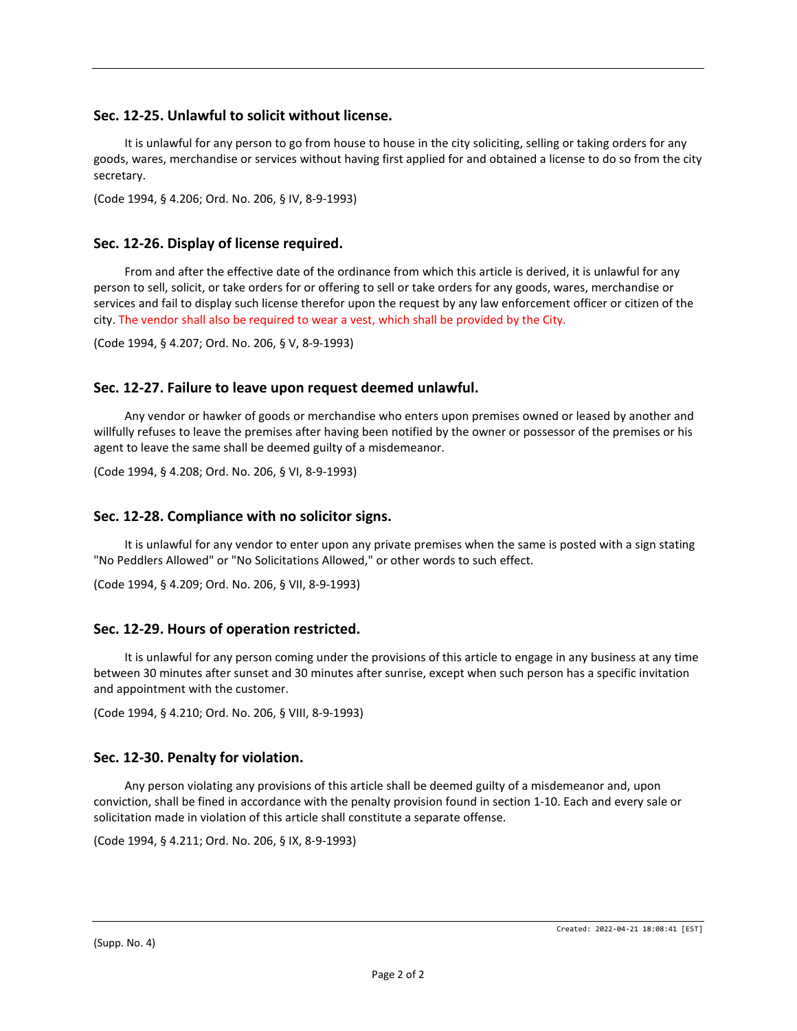#### **Sec. 12-25. Unlawful to solicit without license.**

It is unlawful for any person to go from house to house in the city soliciting, selling or taking orders for any goods, wares, merchandise or services without having first applied for and obtained a license to do so from the city secretary.

(Code 1994, § 4.206; Ord. No. 206, § IV, 8-9-1993)

#### **Sec. 12-26. Display of license required.**

From and after the effective date of the ordinance from which this article is derived, it is unlawful for any person to sell, solicit, or take orders for or offering to sell or take orders for any goods, wares, merchandise or services and fail to display such license therefor upon the request by any law enforcement officer or citizen of the city. The vendor shall also be required to wear a vest, which shall be provided by the City.

(Code 1994, § 4.207; Ord. No. 206, § V, 8-9-1993)

#### **Sec. 12-27. Failure to leave upon request deemed unlawful.**

Any vendor or hawker of goods or merchandise who enters upon premises owned or leased by another and willfully refuses to leave the premises after having been notified by the owner or possessor of the premises or his agent to leave the same shall be deemed guilty of a misdemeanor.

(Code 1994, § 4.208; Ord. No. 206, § VI, 8-9-1993)

#### **Sec. 12-28. Compliance with no solicitor signs.**

It is unlawful for any vendor to enter upon any private premises when the same is posted with a sign stating "No Peddlers Allowed" or "No Solicitations Allowed," or other words to such effect.

(Code 1994, § 4.209; Ord. No. 206, § VII, 8-9-1993)

#### **Sec. 12-29. Hours of operation restricted.**

It is unlawful for any person coming under the provisions of this article to engage in any business at any time between 30 minutes after sunset and 30 minutes after sunrise, except when such person has a specific invitation and appointment with the customer.

(Code 1994, § 4.210; Ord. No. 206, § VIII, 8-9-1993)

#### **Sec. 12-30. Penalty for violation.**

Any person violating any provisions of this article shall be deemed guilty of a misdemeanor and, upon conviction, shall be fined in accordance with the penalty provision found in section 1-10. Each and every sale or solicitation made in violation of this article shall constitute a separate offense.

(Code 1994, § 4.211; Ord. No. 206, § IX, 8-9-1993)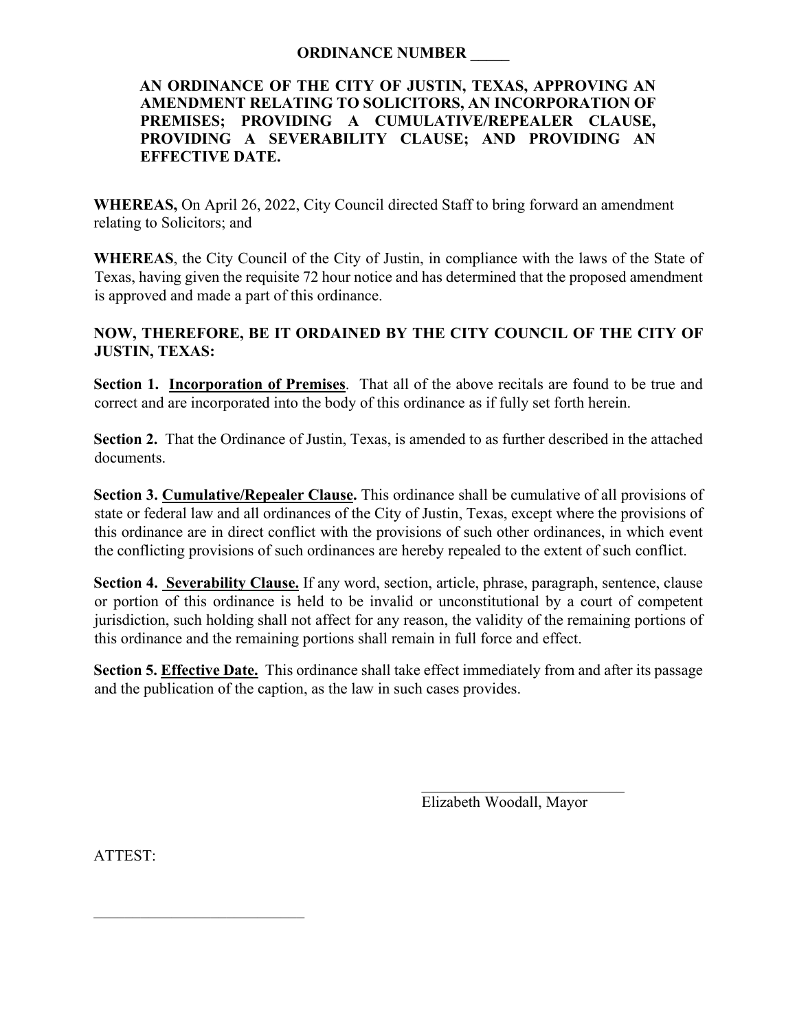### **ORDINANCE NUMBER \_\_\_\_\_**

### **AN ORDINANCE OF THE CITY OF JUSTIN, TEXAS, APPROVING AN AMENDMENT RELATING TO SOLICITORS, AN INCORPORATION OF PREMISES; PROVIDING A CUMULATIVE/REPEALER CLAUSE, PROVIDING A SEVERABILITY CLAUSE; AND PROVIDING AN EFFECTIVE DATE.**

**WHEREAS,** On April 26, 2022, City Council directed Staff to bring forward an amendment relating to Solicitors; and

**WHEREAS**, the City Council of the City of Justin, in compliance with the laws of the State of Texas, having given the requisite 72 hour notice and has determined that the proposed amendment is approved and made a part of this ordinance.

## **NOW, THEREFORE, BE IT ORDAINED BY THE CITY COUNCIL OF THE CITY OF JUSTIN, TEXAS:**

**Section 1. Incorporation of Premises**. That all of the above recitals are found to be true and correct and are incorporated into the body of this ordinance as if fully set forth herein.

**Section 2.** That the Ordinance of Justin, Texas, is amended to as further described in the attached documents.

**Section 3. Cumulative/Repealer Clause.** This ordinance shall be cumulative of all provisions of state or federal law and all ordinances of the City of Justin, Texas, except where the provisions of this ordinance are in direct conflict with the provisions of such other ordinances, in which event the conflicting provisions of such ordinances are hereby repealed to the extent of such conflict.

**Section 4. Severability Clause.** If any word, section, article, phrase, paragraph, sentence, clause or portion of this ordinance is held to be invalid or unconstitutional by a court of competent jurisdiction, such holding shall not affect for any reason, the validity of the remaining portions of this ordinance and the remaining portions shall remain in full force and effect.

**Section 5. Effective Date.** This ordinance shall take effect immediately from and after its passage and the publication of the caption, as the law in such cases provides.

> \_\_\_\_\_\_\_\_\_\_\_\_\_\_\_\_\_\_\_\_\_\_\_\_\_\_ Elizabeth Woodall, Mayor

ATTEST:

 $\mathcal{L}=\mathcal{L}=\mathcal{L}=\mathcal{L}=\mathcal{L}=\mathcal{L}=\mathcal{L}=\mathcal{L}=\mathcal{L}=\mathcal{L}=\mathcal{L}=\mathcal{L}=\mathcal{L}=\mathcal{L}=\mathcal{L}=\mathcal{L}=\mathcal{L}=\mathcal{L}=\mathcal{L}=\mathcal{L}=\mathcal{L}=\mathcal{L}=\mathcal{L}=\mathcal{L}=\mathcal{L}=\mathcal{L}=\mathcal{L}=\mathcal{L}=\mathcal{L}=\mathcal{L}=\mathcal{L}=\mathcal{L}=\mathcal{L}=\mathcal{L}=\mathcal{L}=\mathcal{L}=\mathcal{$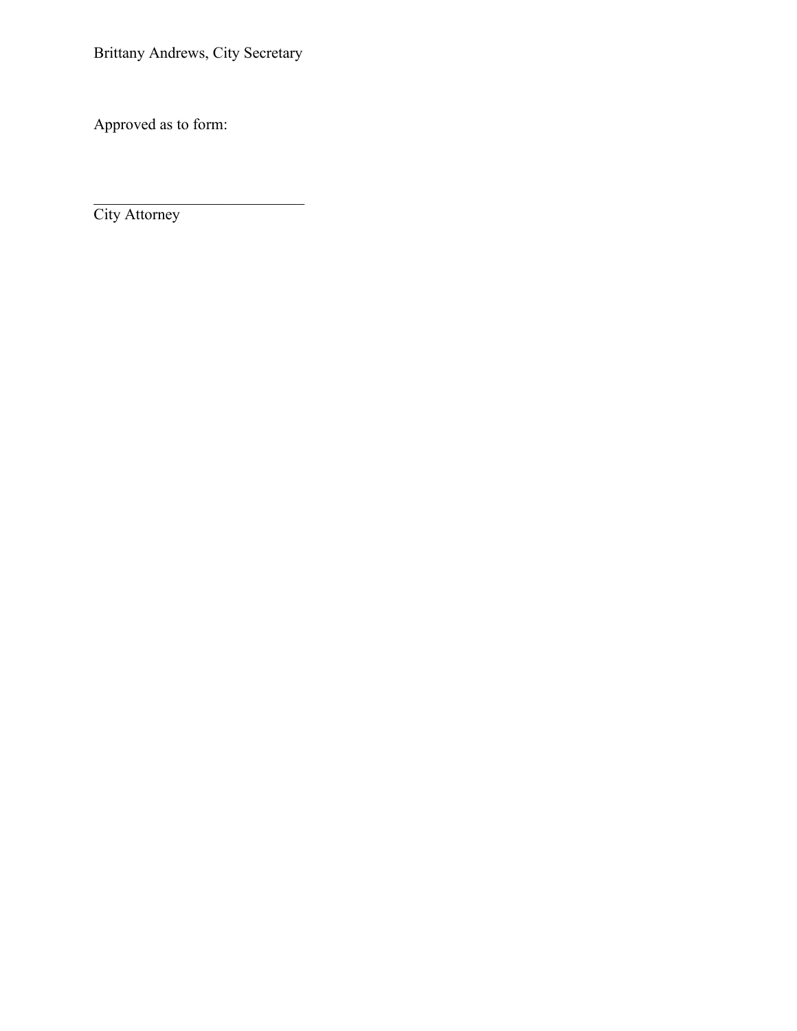Brittany Andrews, City Secretary

 $\overline{\phantom{a}}$ 

Approved as to form:

City Attorney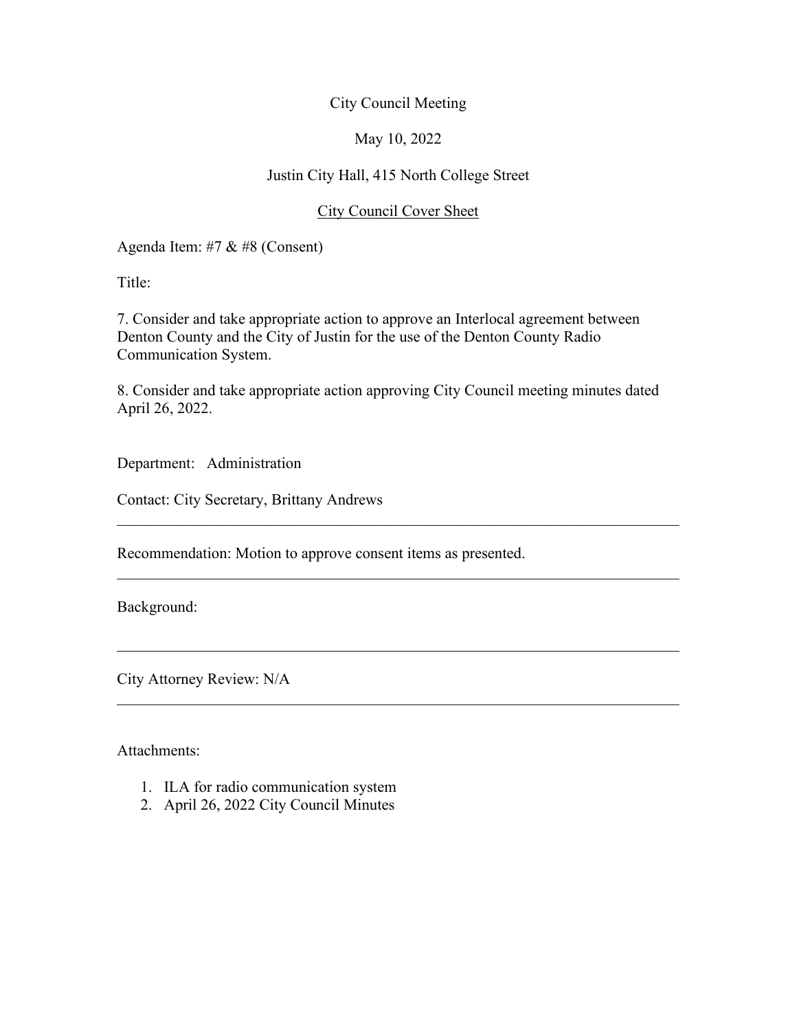### May 10, 2022

### Justin City Hall, 415 North College Street

### City Council Cover Sheet

Agenda Item: #7 & #8 (Consent)

Title:

7. Consider and take appropriate action to approve an Interlocal agreement between Denton County and the City of Justin for the use of the Denton County Radio Communication System.

8. Consider and take appropriate action approving City Council meeting minutes dated April 26, 2022.

 $\mathcal{L}_\text{G}$  , and the contribution of the contribution of the contribution of the contribution of the contribution of the contribution of the contribution of the contribution of the contribution of the contribution of t

 $\mathcal{L}_\text{G}$  , and the contribution of the contribution of the contribution of the contribution of the contribution of the contribution of the contribution of the contribution of the contribution of the contribution of t

 $\mathcal{L}_\text{G}$  , and the contribution of the contribution of the contribution of the contribution of the contribution of the contribution of the contribution of the contribution of the contribution of the contribution of t

 $\mathcal{L}_\text{G}$  , and the contribution of the contribution of the contribution of the contribution of the contribution of the contribution of the contribution of the contribution of the contribution of the contribution of t

Department: Administration

Contact: City Secretary, Brittany Andrews

Recommendation: Motion to approve consent items as presented.

Background:

City Attorney Review: N/A

Attachments:

- 1. ILA for radio communication system
- 2. April 26, 2022 City Council Minutes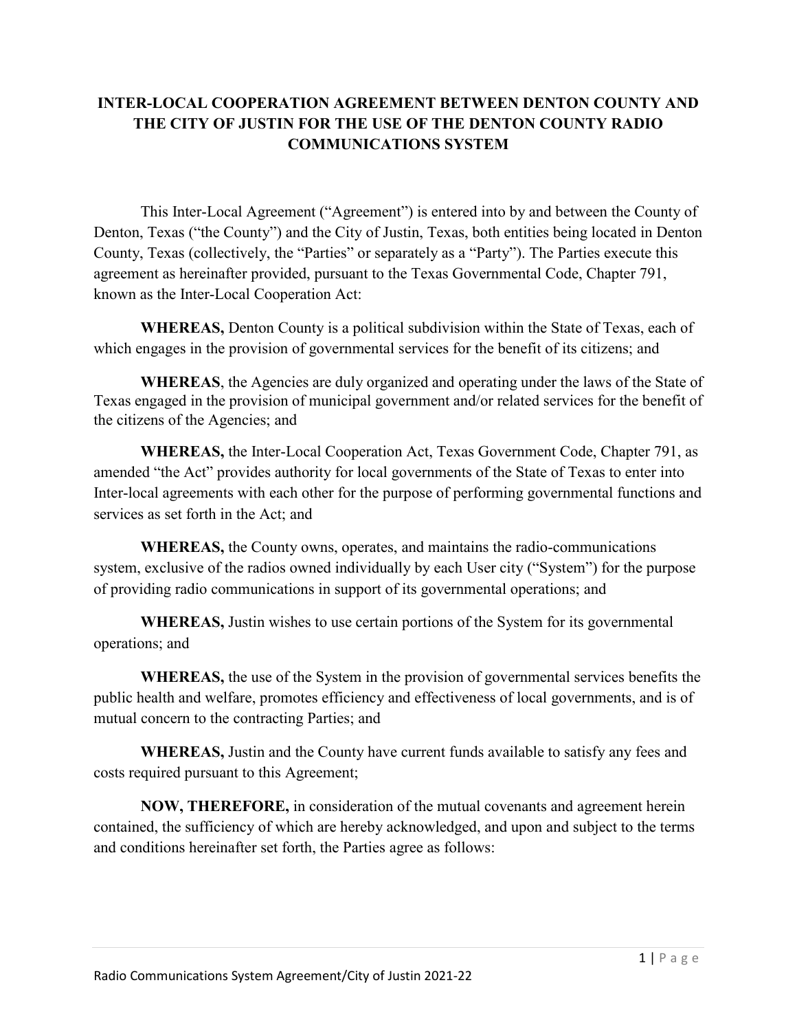## **INTER-LOCAL COOPERATION AGREEMENT BETWEEN DENTON COUNTY AND THE CITY OF JUSTIN FOR THE USE OF THE DENTON COUNTY RADIO COMMUNICATIONS SYSTEM**

This Inter-Local Agreement ("Agreement") is entered into by and between the County of Denton, Texas ("the County") and the City of Justin, Texas, both entities being located in Denton County, Texas (collectively, the "Parties" or separately as a "Party"). The Parties execute this agreement as hereinafter provided, pursuant to the Texas Governmental Code, Chapter 791, known as the Inter-Local Cooperation Act:

**WHEREAS,** Denton County is a political subdivision within the State of Texas, each of which engages in the provision of governmental services for the benefit of its citizens; and

**WHEREAS**, the Agencies are duly organized and operating under the laws of the State of Texas engaged in the provision of municipal government and/or related services for the benefit of the citizens of the Agencies; and

**WHEREAS,** the Inter-Local Cooperation Act, Texas Government Code, Chapter 791, as amended "the Act" provides authority for local governments of the State of Texas to enter into Inter-local agreements with each other for the purpose of performing governmental functions and services as set forth in the Act; and

**WHEREAS,** the County owns, operates, and maintains the radio-communications system, exclusive of the radios owned individually by each User city ("System") for the purpose of providing radio communications in support of its governmental operations; and

**WHEREAS,** Justin wishes to use certain portions of the System for its governmental operations; and

**WHEREAS,** the use of the System in the provision of governmental services benefits the public health and welfare, promotes efficiency and effectiveness of local governments, and is of mutual concern to the contracting Parties; and

**WHEREAS,** Justin and the County have current funds available to satisfy any fees and costs required pursuant to this Agreement;

**NOW, THEREFORE,** in consideration of the mutual covenants and agreement herein contained, the sufficiency of which are hereby acknowledged, and upon and subject to the terms and conditions hereinafter set forth, the Parties agree as follows: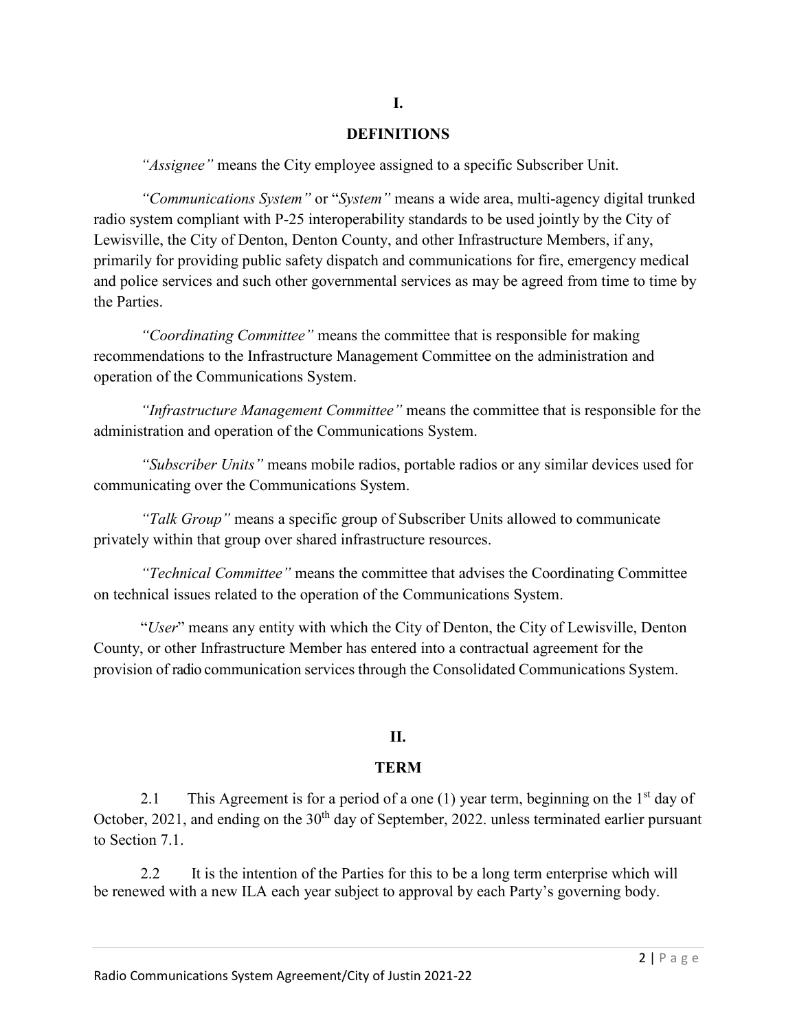#### **DEFINITIONS**

**I.**

*"Assignee"* means the City employee assigned to a specific Subscriber Unit.

*"Communications System"* or "*System"* means a wide area, multi-agency digital trunked radio system compliant with P-25 interoperability standards to be used jointly by the City of Lewisville, the City of Denton, Denton County, and other Infrastructure Members, if any, primarily for providing public safety dispatch and communications for fire, emergency medical and police services and such other governmental services as may be agreed from time to time by the Parties.

*"Coordinating Committee"* means the committee that is responsible for making recommendations to the Infrastructure Management Committee on the administration and operation of the Communications System.

*"Infrastructure Management Committee"* means the committee that is responsible for the administration and operation of the Communications System.

*"Subscriber Units"* means mobile radios, portable radios or any similar devices used for communicating over the Communications System.

*"Talk Group"* means a specific group of Subscriber Units allowed to communicate privately within that group over shared infrastructure resources.

*"Technical Committee"* means the committee that advises the Coordinating Committee on technical issues related to the operation of the Communications System.

"*User*" means any entity with which the City of Denton, the City of Lewisville, Denton County, or other Infrastructure Member has entered into a contractual agreement for the provision of radio communication services through the Consolidated Communications System.

### **II.**

#### **TERM**

2.1 This Agreement is for a period of a one (1) year term, beginning on the  $1<sup>st</sup>$  day of October, 2021, and ending on the  $30<sup>th</sup>$  day of September, 2022. unless terminated earlier pursuant to Section 7.1.

2.2 It is the intention of the Parties for this to be a long term enterprise which will be renewed with a new ILA each year subject to approval by each Party's governing body.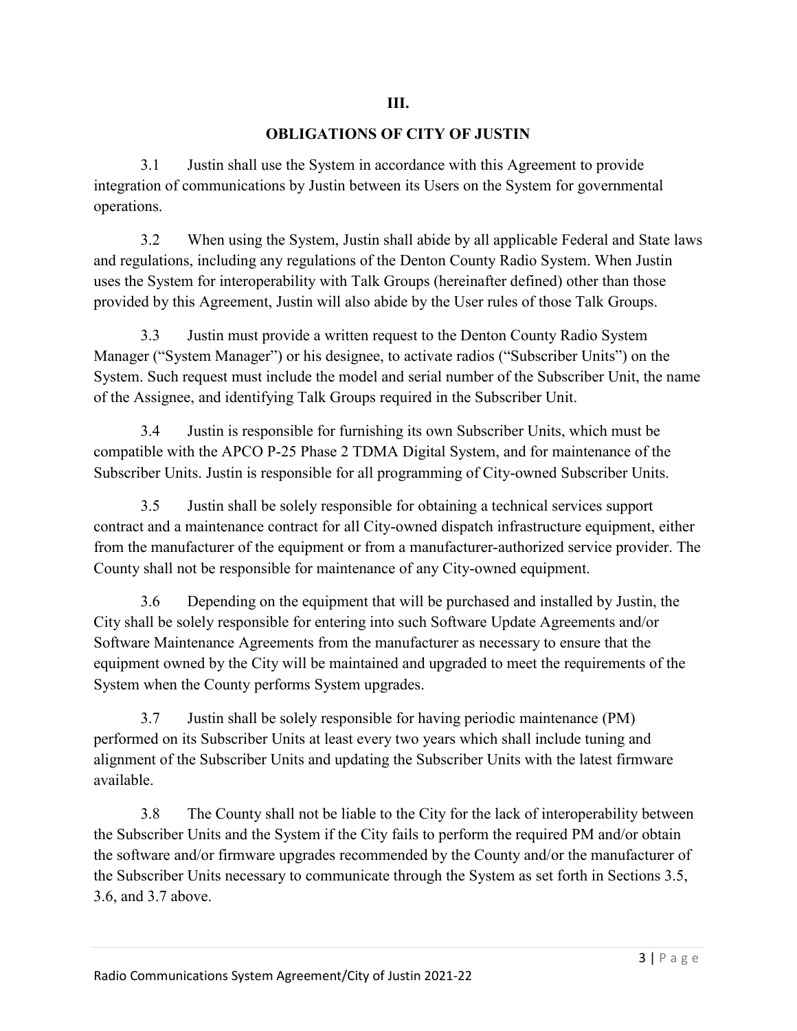### **OBLIGATIONS OF CITY OF JUSTIN**

3.1 Justin shall use the System in accordance with this Agreement to provide integration of communications by Justin between its Users on the System for governmental operations.

3.2 When using the System, Justin shall abide by all applicable Federal and State laws and regulations, including any regulations of the Denton County Radio System. When Justin uses the System for interoperability with Talk Groups (hereinafter defined) other than those provided by this Agreement, Justin will also abide by the User rules of those Talk Groups.

3.3 Justin must provide a written request to the Denton County Radio System Manager ("System Manager") or his designee, to activate radios ("Subscriber Units") on the System. Such request must include the model and serial number of the Subscriber Unit, the name of the Assignee, and identifying Talk Groups required in the Subscriber Unit.

3.4 Justin is responsible for furnishing its own Subscriber Units, which must be compatible with the APCO P-25 Phase 2 TDMA Digital System, and for maintenance of the Subscriber Units. Justin is responsible for all programming of City-owned Subscriber Units.

3.5 Justin shall be solely responsible for obtaining a technical services support contract and a maintenance contract for all City-owned dispatch infrastructure equipment, either from the manufacturer of the equipment or from a manufacturer-authorized service provider. The County shall not be responsible for maintenance of any City-owned equipment.

3.6 Depending on the equipment that will be purchased and installed by Justin, the City shall be solely responsible for entering into such Software Update Agreements and/or Software Maintenance Agreements from the manufacturer as necessary to ensure that the equipment owned by the City will be maintained and upgraded to meet the requirements of the System when the County performs System upgrades.

3.7 Justin shall be solely responsible for having periodic maintenance (PM) performed on its Subscriber Units at least every two years which shall include tuning and alignment of the Subscriber Units and updating the Subscriber Units with the latest firmware available.

3.8 The County shall not be liable to the City for the lack of interoperability between the Subscriber Units and the System if the City fails to perform the required PM and/or obtain the software and/or firmware upgrades recommended by the County and/or the manufacturer of the Subscriber Units necessary to communicate through the System as set forth in Sections 3.5, 3.6, and 3.7 above.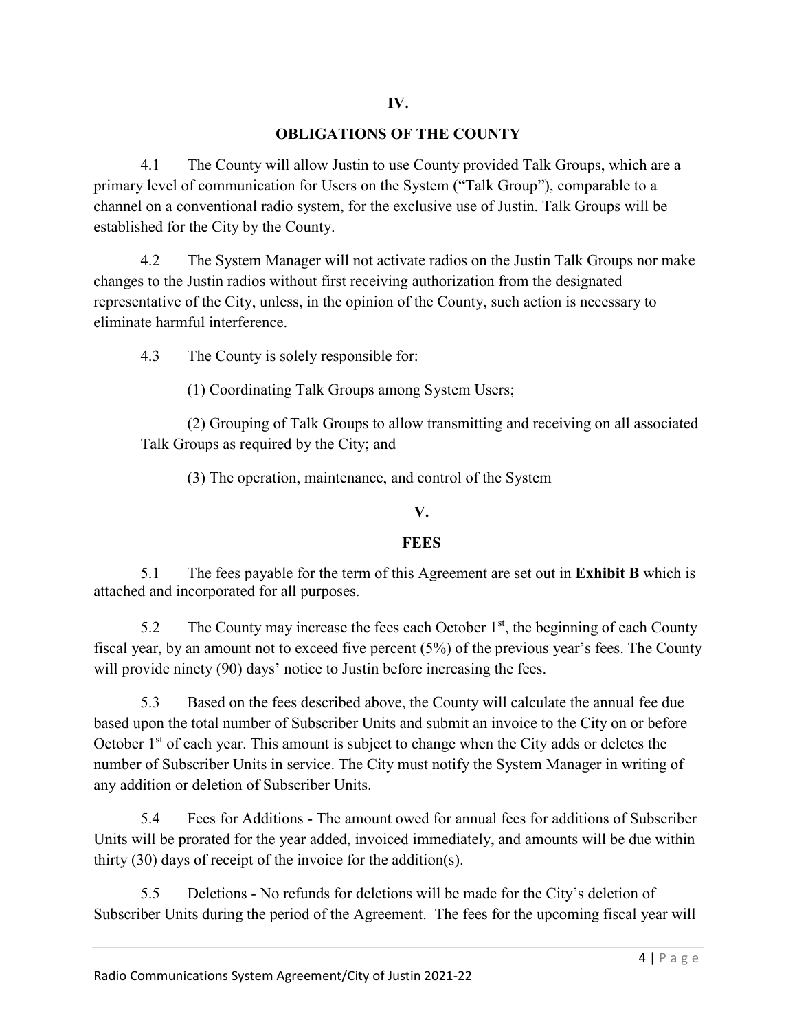## **OBLIGATIONS OF THE COUNTY**

4.1 The County will allow Justin to use County provided Talk Groups, which are a primary level of communication for Users on the System ("Talk Group"), comparable to a channel on a conventional radio system, for the exclusive use of Justin. Talk Groups will be established for the City by the County.

4.2 The System Manager will not activate radios on the Justin Talk Groups nor make changes to the Justin radios without first receiving authorization from the designated representative of the City, unless, in the opinion of the County, such action is necessary to eliminate harmful interference.

4.3 The County is solely responsible for:

(1) Coordinating Talk Groups among System Users;

(2) Grouping of Talk Groups to allow transmitting and receiving on all associated Talk Groups as required by the City; and

(3) The operation, maintenance, and control of the System

## **V.**

### **FEES**

5.1 The fees payable for the term of this Agreement are set out in **Exhibit B** which is attached and incorporated for all purposes.

5.2 The County may increase the fees each October  $1<sup>st</sup>$ , the beginning of each County fiscal year, by an amount not to exceed five percent (5%) of the previous year's fees. The County will provide ninety (90) days' notice to Justin before increasing the fees.

5.3 Based on the fees described above, the County will calculate the annual fee due based upon the total number of Subscriber Units and submit an invoice to the City on or before October  $1<sup>st</sup>$  of each year. This amount is subject to change when the City adds or deletes the number of Subscriber Units in service. The City must notify the System Manager in writing of any addition or deletion of Subscriber Units.

5.4 Fees for Additions - The amount owed for annual fees for additions of Subscriber Units will be prorated for the year added, invoiced immediately, and amounts will be due within thirty (30) days of receipt of the invoice for the addition(s).

5.5 Deletions - No refunds for deletions will be made for the City's deletion of Subscriber Units during the period of the Agreement. The fees for the upcoming fiscal year will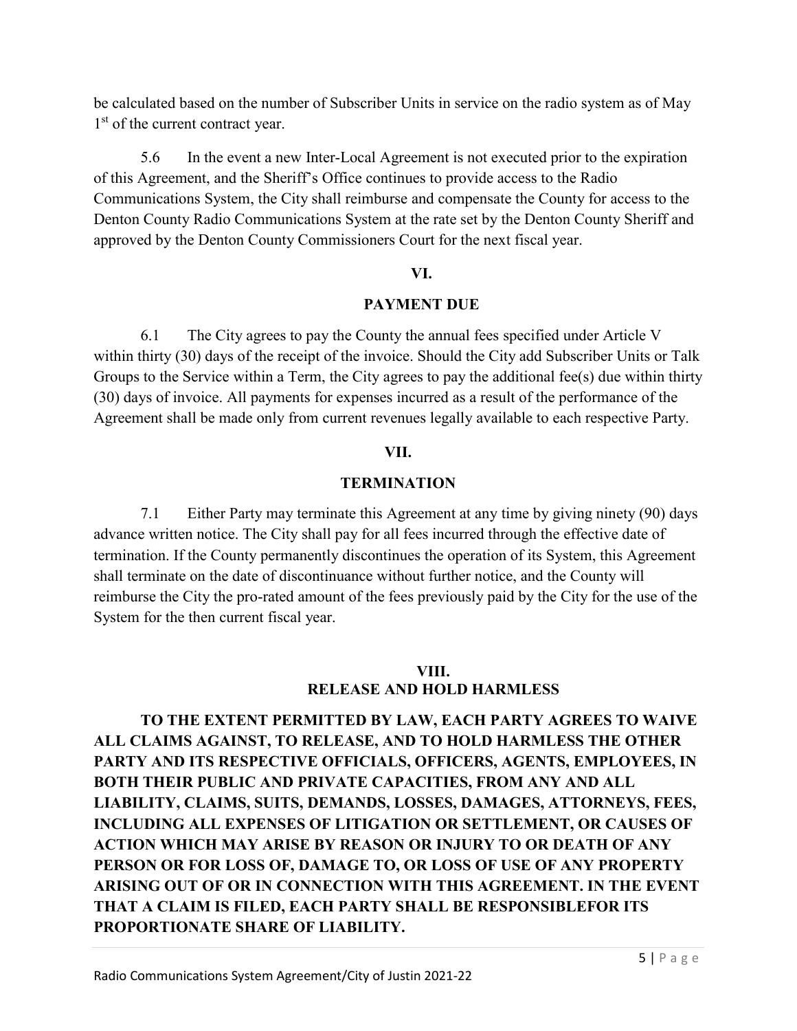be calculated based on the number of Subscriber Units in service on the radio system as of May 1<sup>st</sup> of the current contract year.

5.6 In the event a new Inter-Local Agreement is not executed prior to the expiration of this Agreement, and the Sheriff's Office continues to provide access to the Radio Communications System, the City shall reimburse and compensate the County for access to the Denton County Radio Communications System at the rate set by the Denton County Sheriff and approved by the Denton County Commissioners Court for the next fiscal year.

### **VI.**

## **PAYMENT DUE**

6.1 The City agrees to pay the County the annual fees specified under Article V within thirty (30) days of the receipt of the invoice. Should the City add Subscriber Units or Talk Groups to the Service within a Term, the City agrees to pay the additional fee(s) due within thirty (30) days of invoice. All payments for expenses incurred as a result of the performance of the Agreement shall be made only from current revenues legally available to each respective Party.

## **VII.**

## **TERMINATION**

7.1 Either Party may terminate this Agreement at any time by giving ninety (90) days advance written notice. The City shall pay for all fees incurred through the effective date of termination. If the County permanently discontinues the operation of its System, this Agreement shall terminate on the date of discontinuance without further notice, and the County will reimburse the City the pro-rated amount of the fees previously paid by the City for the use of the System for the then current fiscal year.

## **VIII.**

### **RELEASE AND HOLD HARMLESS**

**TO THE EXTENT PERMITTED BY LAW, EACH PARTY AGREES TO WAIVE ALL CLAIMS AGAINST, TO RELEASE, AND TO HOLD HARMLESS THE OTHER PARTY AND ITS RESPECTIVE OFFICIALS, OFFICERS, AGENTS, EMPLOYEES, IN BOTH THEIR PUBLIC AND PRIVATE CAPACITIES, FROM ANY AND ALL LIABILITY, CLAIMS, SUITS, DEMANDS, LOSSES, DAMAGES, ATTORNEYS, FEES, INCLUDING ALL EXPENSES OF LITIGATION OR SETTLEMENT, OR CAUSES OF ACTION WHICH MAY ARISE BY REASON OR INJURY TO OR DEATH OF ANY PERSON OR FOR LOSS OF, DAMAGE TO, OR LOSS OF USE OF ANY PROPERTY ARISING OUT OF OR IN CONNECTION WITH THIS AGREEMENT. IN THE EVENT THAT A CLAIM IS FILED, EACH PARTY SHALL BE RESPONSIBLEFOR ITS PROPORTIONATE SHARE OF LIABILITY.**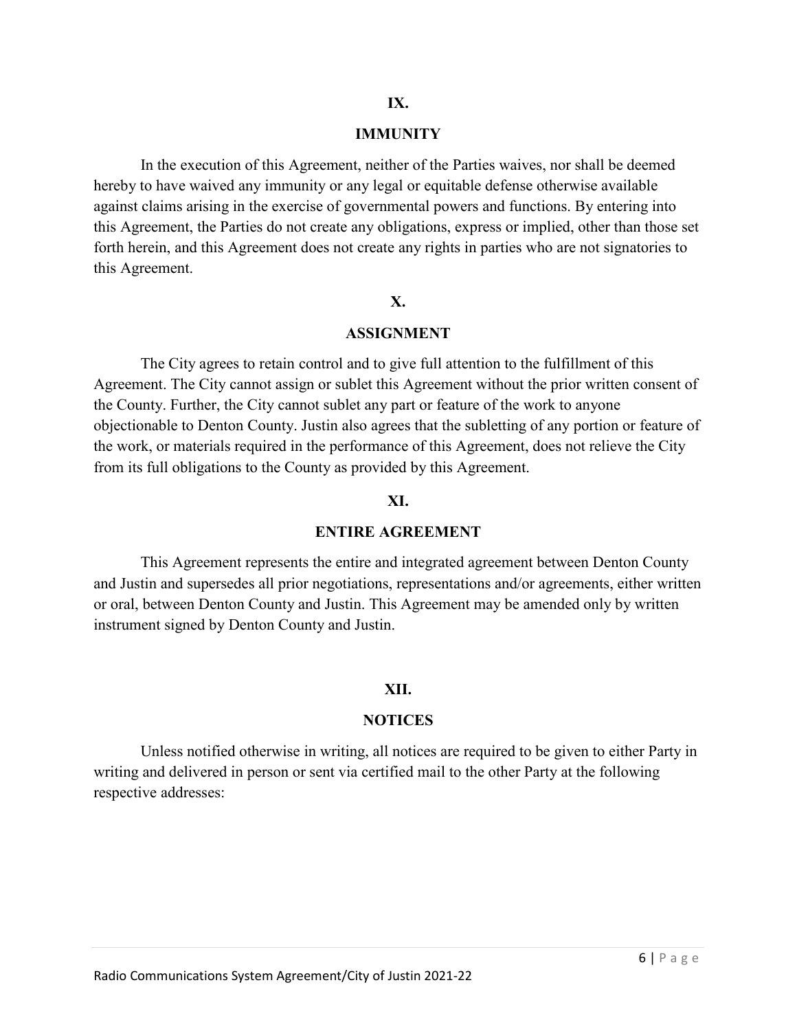#### **IMMUNITY**

In the execution of this Agreement, neither of the Parties waives, nor shall be deemed hereby to have waived any immunity or any legal or equitable defense otherwise available against claims arising in the exercise of governmental powers and functions. By entering into this Agreement, the Parties do not create any obligations, express or implied, other than those set forth herein, and this Agreement does not create any rights in parties who are not signatories to this Agreement.

### **X.**

### **ASSIGNMENT**

The City agrees to retain control and to give full attention to the fulfillment of this Agreement. The City cannot assign or sublet this Agreement without the prior written consent of the County. Further, the City cannot sublet any part or feature of the work to anyone objectionable to Denton County. Justin also agrees that the subletting of any portion or feature of the work, or materials required in the performance of this Agreement, does not relieve the City from its full obligations to the County as provided by this Agreement.

#### **XI.**

### **ENTIRE AGREEMENT**

This Agreement represents the entire and integrated agreement between Denton County and Justin and supersedes all prior negotiations, representations and/or agreements, either written or oral, between Denton County and Justin. This Agreement may be amended only by written instrument signed by Denton County and Justin.

#### **XII.**

#### **NOTICES**

Unless notified otherwise in writing, all notices are required to be given to either Party in writing and delivered in person or sent via certified mail to the other Party at the following respective addresses: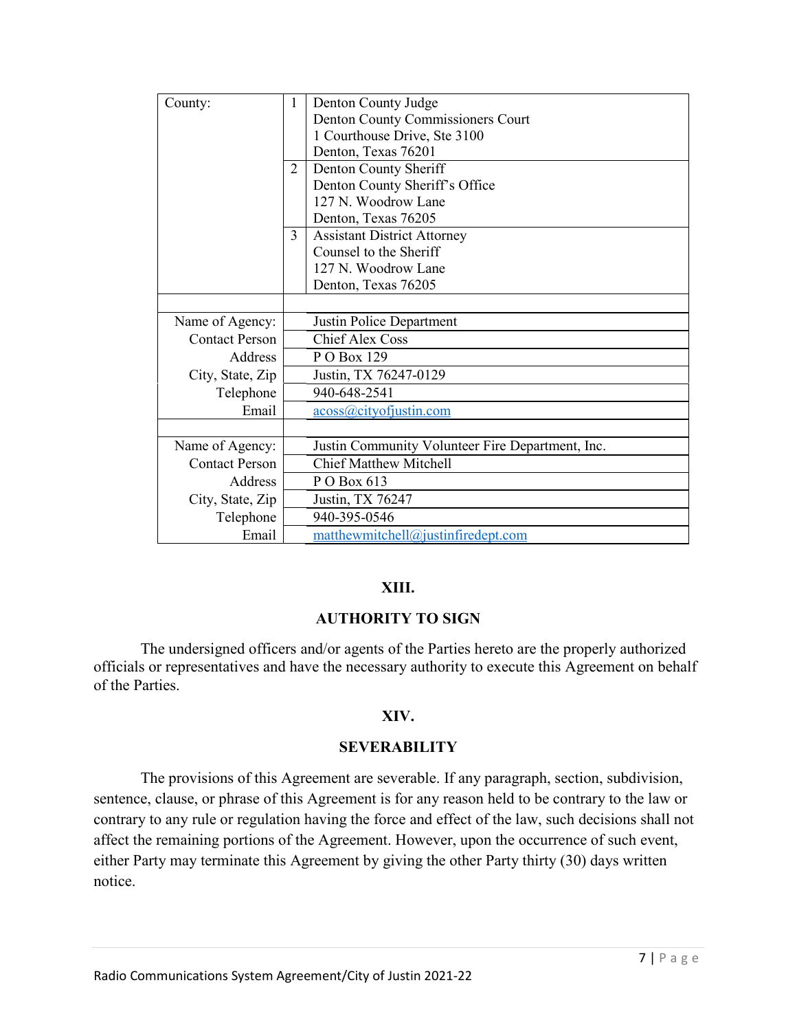| County:               | 1                                 | Denton County Judge                              |  |  |  |
|-----------------------|-----------------------------------|--------------------------------------------------|--|--|--|
|                       | Denton County Commissioners Court |                                                  |  |  |  |
|                       |                                   | 1 Courthouse Drive, Ste 3100                     |  |  |  |
|                       | Denton, Texas 76201               |                                                  |  |  |  |
|                       | Denton County Sheriff<br>2        |                                                  |  |  |  |
|                       | Denton County Sheriff's Office    |                                                  |  |  |  |
|                       |                                   | 127 N. Woodrow Lane                              |  |  |  |
|                       | Denton, Texas 76205               |                                                  |  |  |  |
|                       | 3                                 | <b>Assistant District Attorney</b>               |  |  |  |
|                       |                                   | Counsel to the Sheriff                           |  |  |  |
|                       |                                   | 127 N. Woodrow Lane                              |  |  |  |
|                       |                                   | Denton, Texas 76205                              |  |  |  |
|                       |                                   |                                                  |  |  |  |
| Name of Agency:       |                                   | Justin Police Department                         |  |  |  |
| <b>Contact Person</b> |                                   | <b>Chief Alex Coss</b>                           |  |  |  |
| Address               |                                   | P O Box 129                                      |  |  |  |
| City, State, Zip      | Justin, TX 76247-0129             |                                                  |  |  |  |
| Telephone             |                                   | 940-648-2541                                     |  |  |  |
| Email                 |                                   | acoss@cityofjustin.com                           |  |  |  |
|                       |                                   |                                                  |  |  |  |
| Name of Agency:       |                                   | Justin Community Volunteer Fire Department, Inc. |  |  |  |
| <b>Contact Person</b> |                                   | <b>Chief Matthew Mitchell</b>                    |  |  |  |
| <b>Address</b>        |                                   | P O Box 613                                      |  |  |  |
| City, State, Zip      |                                   | Justin, TX 76247                                 |  |  |  |
| Telephone             |                                   | 940-395-0546                                     |  |  |  |
| Email                 |                                   | matthewmitchell@justinfiredept.com               |  |  |  |

### **XIII.**

### **AUTHORITY TO SIGN**

 The undersigned officers and/or agents of the Parties hereto are the properly authorized officials or representatives and have the necessary authority to execute this Agreement on behalf of the Parties.

### **XIV.**

### **SEVERABILITY**

The provisions of this Agreement are severable. If any paragraph, section, subdivision, sentence, clause, or phrase of this Agreement is for any reason held to be contrary to the law or contrary to any rule or regulation having the force and effect of the law, such decisions shall not affect the remaining portions of the Agreement. However, upon the occurrence of such event, either Party may terminate this Agreement by giving the other Party thirty (30) days written notice.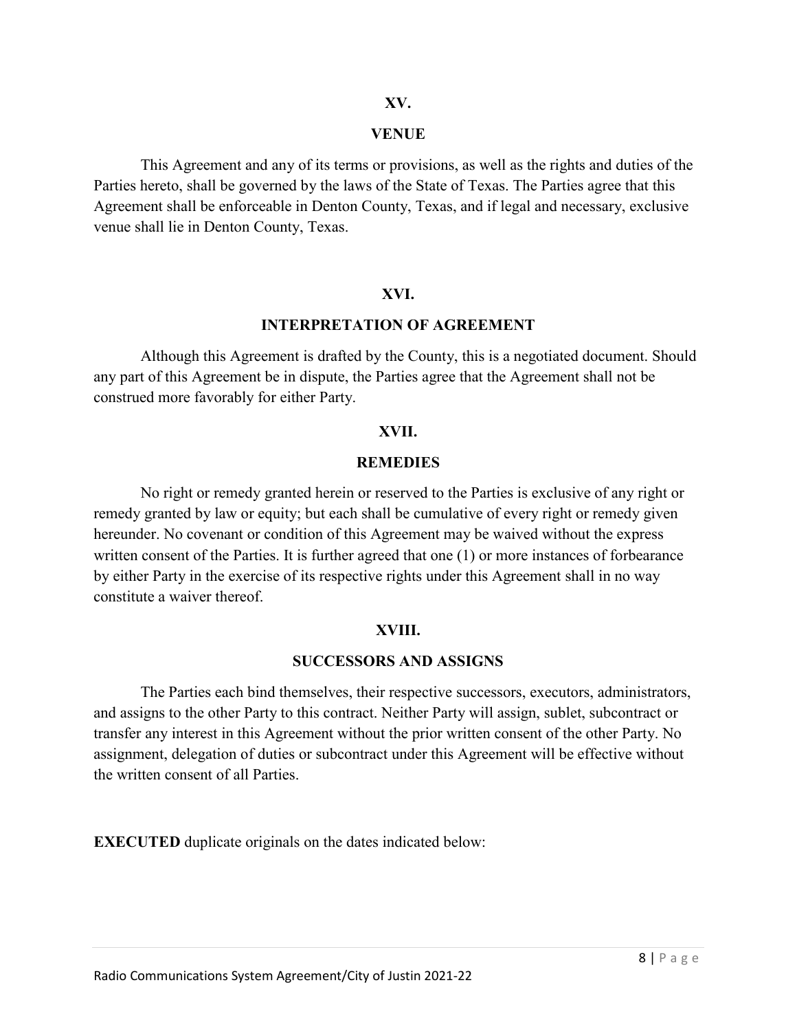### **XV.**

### **VENUE**

This Agreement and any of its terms or provisions, as well as the rights and duties of the Parties hereto, shall be governed by the laws of the State of Texas. The Parties agree that this Agreement shall be enforceable in Denton County, Texas, and if legal and necessary, exclusive venue shall lie in Denton County, Texas.

### **XVI.**

### **INTERPRETATION OF AGREEMENT**

Although this Agreement is drafted by the County, this is a negotiated document. Should any part of this Agreement be in dispute, the Parties agree that the Agreement shall not be construed more favorably for either Party.

### **XVII.**

### **REMEDIES**

No right or remedy granted herein or reserved to the Parties is exclusive of any right or remedy granted by law or equity; but each shall be cumulative of every right or remedy given hereunder. No covenant or condition of this Agreement may be waived without the express written consent of the Parties. It is further agreed that one (1) or more instances of forbearance by either Party in the exercise of its respective rights under this Agreement shall in no way constitute a waiver thereof.

### **XVIII.**

### **SUCCESSORS AND ASSIGNS**

The Parties each bind themselves, their respective successors, executors, administrators, and assigns to the other Party to this contract. Neither Party will assign, sublet, subcontract or transfer any interest in this Agreement without the prior written consent of the other Party. No assignment, delegation of duties or subcontract under this Agreement will be effective without the written consent of all Parties.

**EXECUTED** duplicate originals on the dates indicated below: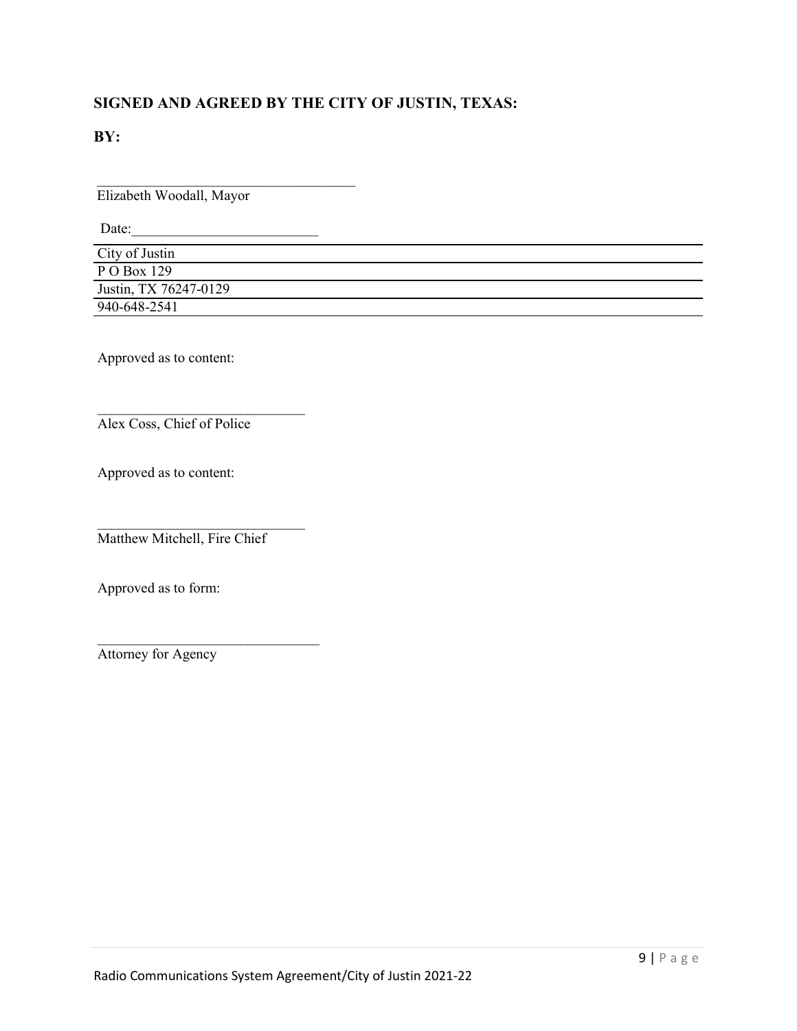## **SIGNED AND AGREED BY THE CITY OF JUSTIN, TEXAS:**

**BY:**

 $\overline{\phantom{a}}$  , where  $\overline{\phantom{a}}$  , where  $\overline{\phantom{a}}$  , where  $\overline{\phantom{a}}$ Elizabeth Woodall, Mayor

Date:\_\_\_\_\_\_\_\_\_\_\_\_\_\_\_\_\_\_\_\_\_\_\_\_\_\_

| City of Justin        |  |
|-----------------------|--|
| P O Box 129           |  |
| Justin, TX 76247-0129 |  |
| 940-648-2541          |  |

Approved as to content:

Alex Coss, Chief of Police

\_\_\_\_\_\_\_\_\_\_\_\_\_\_\_\_\_\_\_\_\_\_\_\_\_\_\_\_\_

Approved as to content:

\_\_\_\_\_\_\_\_\_\_\_\_\_\_\_\_\_\_\_\_\_\_\_\_\_\_\_\_\_ Matthew Mitchell, Fire Chief

\_\_\_\_\_\_\_\_\_\_\_\_\_\_\_\_\_\_\_\_\_\_\_\_\_\_\_\_\_\_\_

Approved as to form:

Attorney for Agency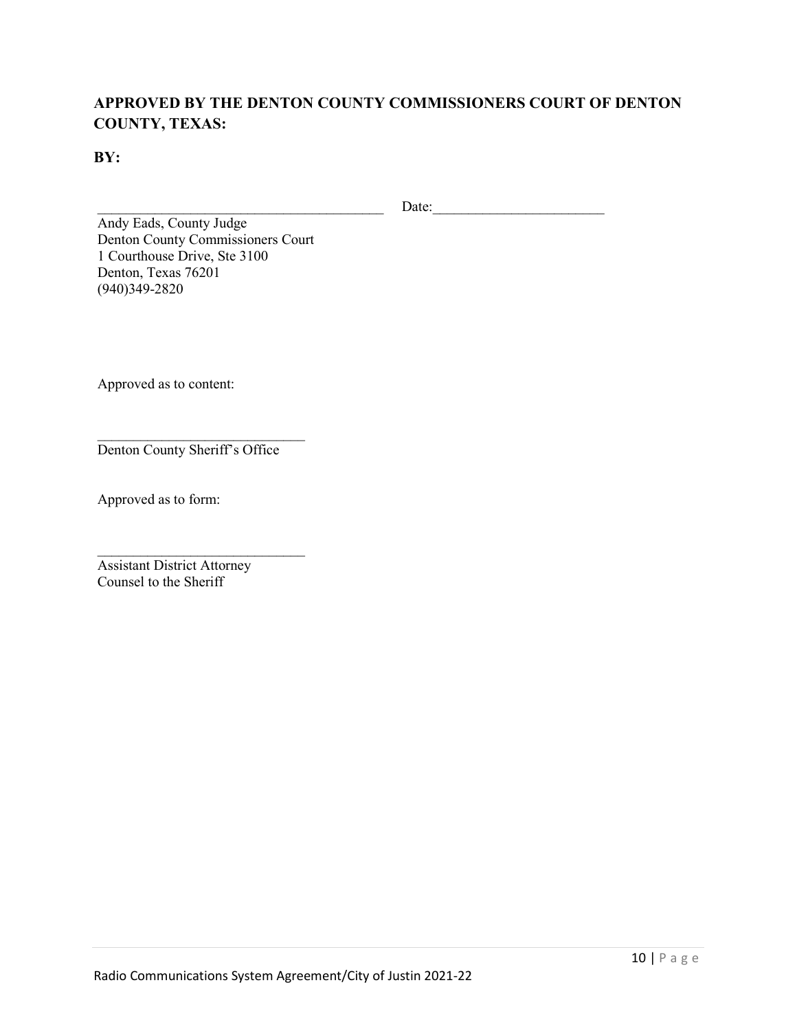## **APPROVED BY THE DENTON COUNTY COMMISSIONERS COURT OF DENTON COUNTY, TEXAS:**

**BY:**

\_\_\_\_\_\_\_\_\_\_\_\_\_\_\_\_\_\_\_\_\_\_\_\_\_\_\_\_\_\_\_\_\_\_\_\_\_\_\_\_ Date:\_\_\_\_\_\_\_\_\_\_\_\_\_\_\_\_\_\_\_\_\_\_\_\_

Andy Eads, County Judge Denton County Commissioners Court 1 Courthouse Drive, Ste 3100 Denton, Texas 76201 (940)349-2820

Approved as to content:

\_\_\_\_\_\_\_\_\_\_\_\_\_\_\_\_\_\_\_\_\_\_\_\_\_\_\_\_\_ Denton County Sheriff's Office

\_\_\_\_\_\_\_\_\_\_\_\_\_\_\_\_\_\_\_\_\_\_\_\_\_\_\_\_\_

Approved as to form:

Assistant District Attorney Counsel to the Sheriff